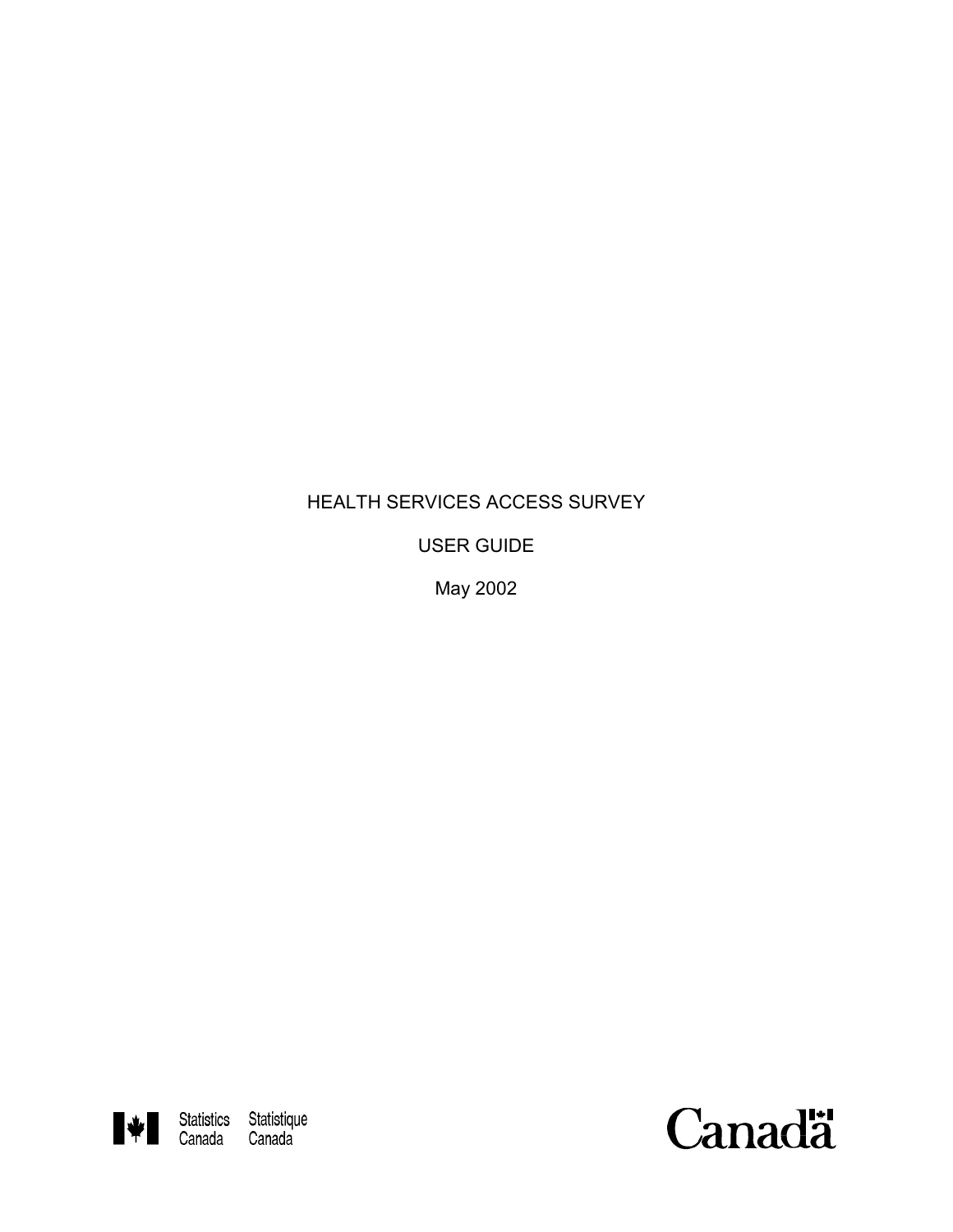# HEALTH SERVICES ACCESS SURVEY

USER GUIDE

May 2002



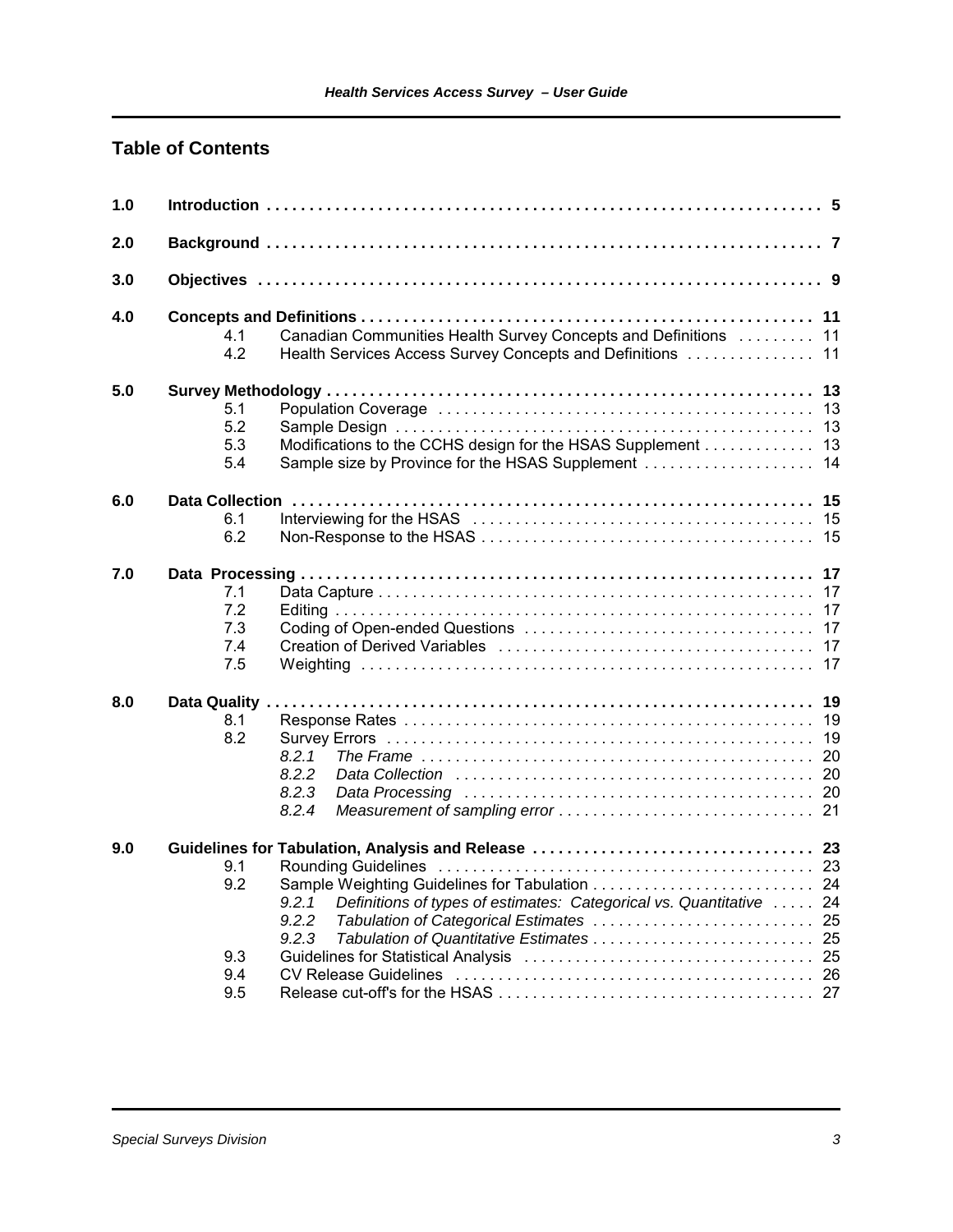### **Table of Contents**

| 1.0 |                                                                                                                                                                                     |
|-----|-------------------------------------------------------------------------------------------------------------------------------------------------------------------------------------|
| 2.0 |                                                                                                                                                                                     |
| 3.0 |                                                                                                                                                                                     |
| 4.0 | Canadian Communities Health Survey Concepts and Definitions  11<br>4.1<br>4.2<br>Health Services Access Survey Concepts and Definitions  11                                         |
| 5.0 | 13<br>13<br>5.1<br>5.2<br>13<br>5.3<br>Modifications to the CCHS design for the HSAS Supplement 13<br>5.4                                                                           |
| 6.0 | 15<br>6.1<br>6.2                                                                                                                                                                    |
| 7.0 | 7.1<br>17<br>7.2<br>17<br>7.3<br>17<br>7.4<br>17<br>7.5<br>17                                                                                                                       |
| 8.0 | 19<br>8.1<br>19<br>8.2<br>19<br>8.2.1<br>8.2.2<br>8.2.3<br>8.2.4                                                                                                                    |
| 9.0 | 9.1<br>9.2<br>Sample Weighting Guidelines for Tabulation  24<br>Definitions of types of estimates: Categorical vs. Quantitative  24<br>9.2.1<br>9.2.2<br>9.2.3<br>9.3<br>9.4<br>9.5 |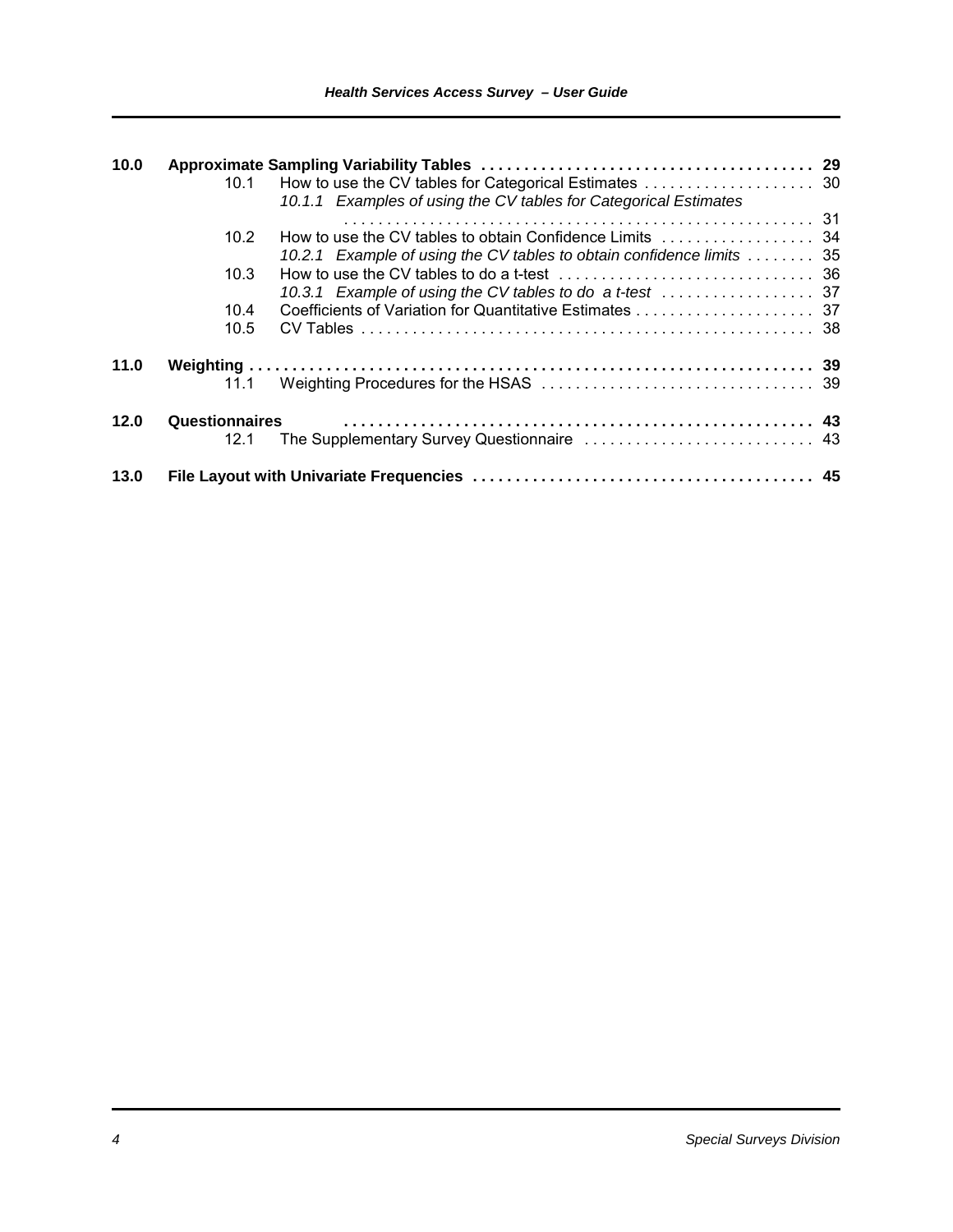| 10.0 |                       |                                                                      |  |
|------|-----------------------|----------------------------------------------------------------------|--|
|      | 10.1                  |                                                                      |  |
|      |                       | 10.1.1 Examples of using the CV tables for Categorical Estimates     |  |
|      |                       |                                                                      |  |
|      | 10.2                  |                                                                      |  |
|      |                       | 10.2.1 Example of using the CV tables to obtain confidence limits 35 |  |
|      | 10.3                  |                                                                      |  |
|      |                       |                                                                      |  |
|      | 10.4                  |                                                                      |  |
|      | 10.5                  |                                                                      |  |
| 11.0 |                       |                                                                      |  |
|      | 11.1                  |                                                                      |  |
| 12.0 | <b>Questionnaires</b> |                                                                      |  |
|      | 12.1                  |                                                                      |  |
| 13.0 |                       |                                                                      |  |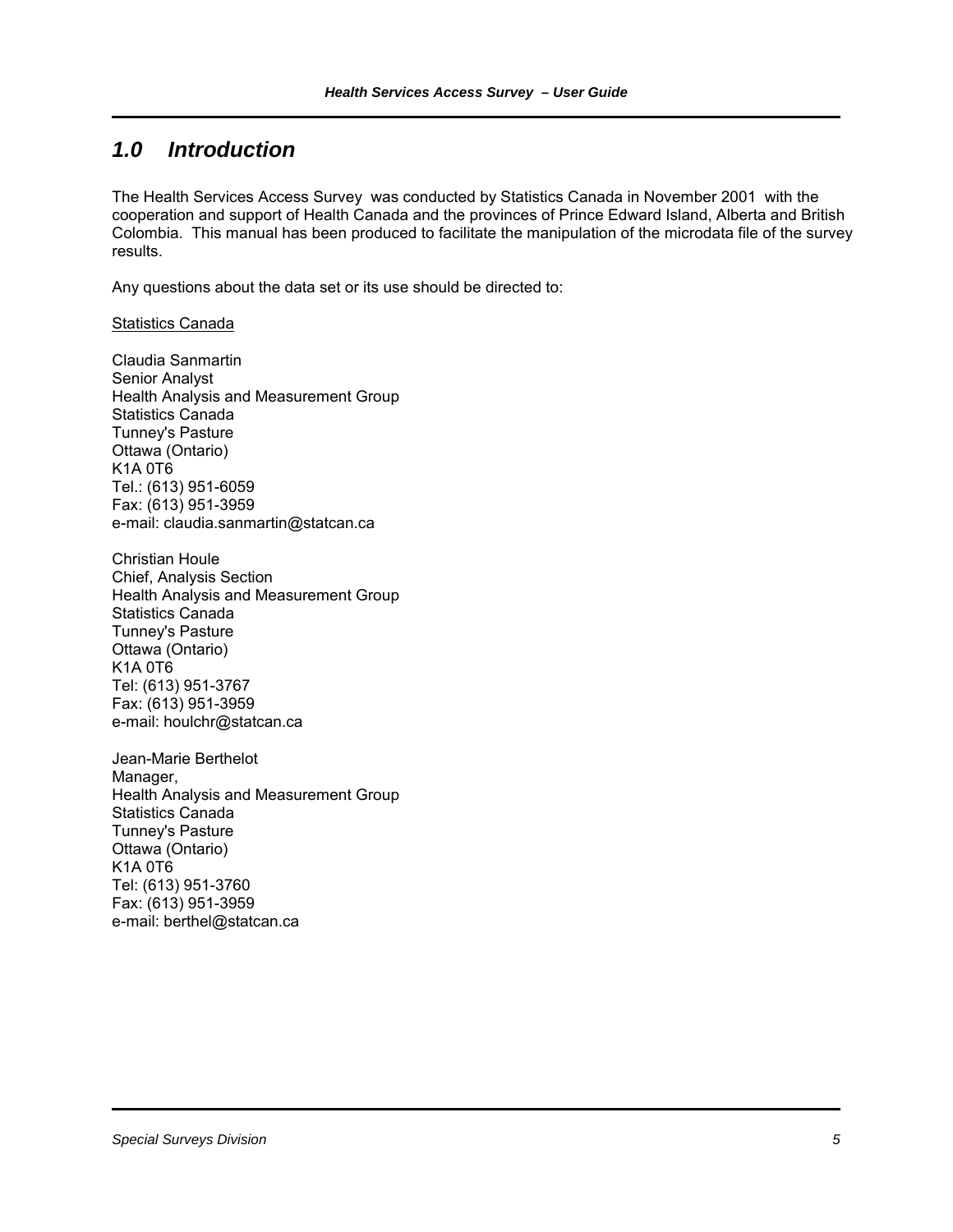## *1.0 Introduction*

The Health Services Access Survey was conducted by Statistics Canada in November 2001 with the cooperation and support of Health Canada and the provinces of Prince Edward Island, Alberta and British Colombia. This manual has been produced to facilitate the manipulation of the microdata file of the survey results.

Any questions about the data set or its use should be directed to:

**Statistics Canada** 

Claudia Sanmartin Senior Analyst Health Analysis and Measurement Group Statistics Canada Tunney's Pasture Ottawa (Ontario) K1A 0T6 Tel.: (613) 951-6059 Fax: (613) 951-3959 e-mail: claudia.sanmartin@statcan.ca

Christian Houle Chief, Analysis Section Health Analysis and Measurement Group Statistics Canada Tunney's Pasture Ottawa (Ontario) K1A 0T6 Tel: (613) 951-3767 Fax: (613) 951-3959 e-mail: houlchr@statcan.ca

Jean-Marie Berthelot Manager, Health Analysis and Measurement Group Statistics Canada Tunney's Pasture Ottawa (Ontario) K1A 0T6 Tel: (613) 951-3760 Fax: (613) 951-3959 e-mail: berthel@statcan.ca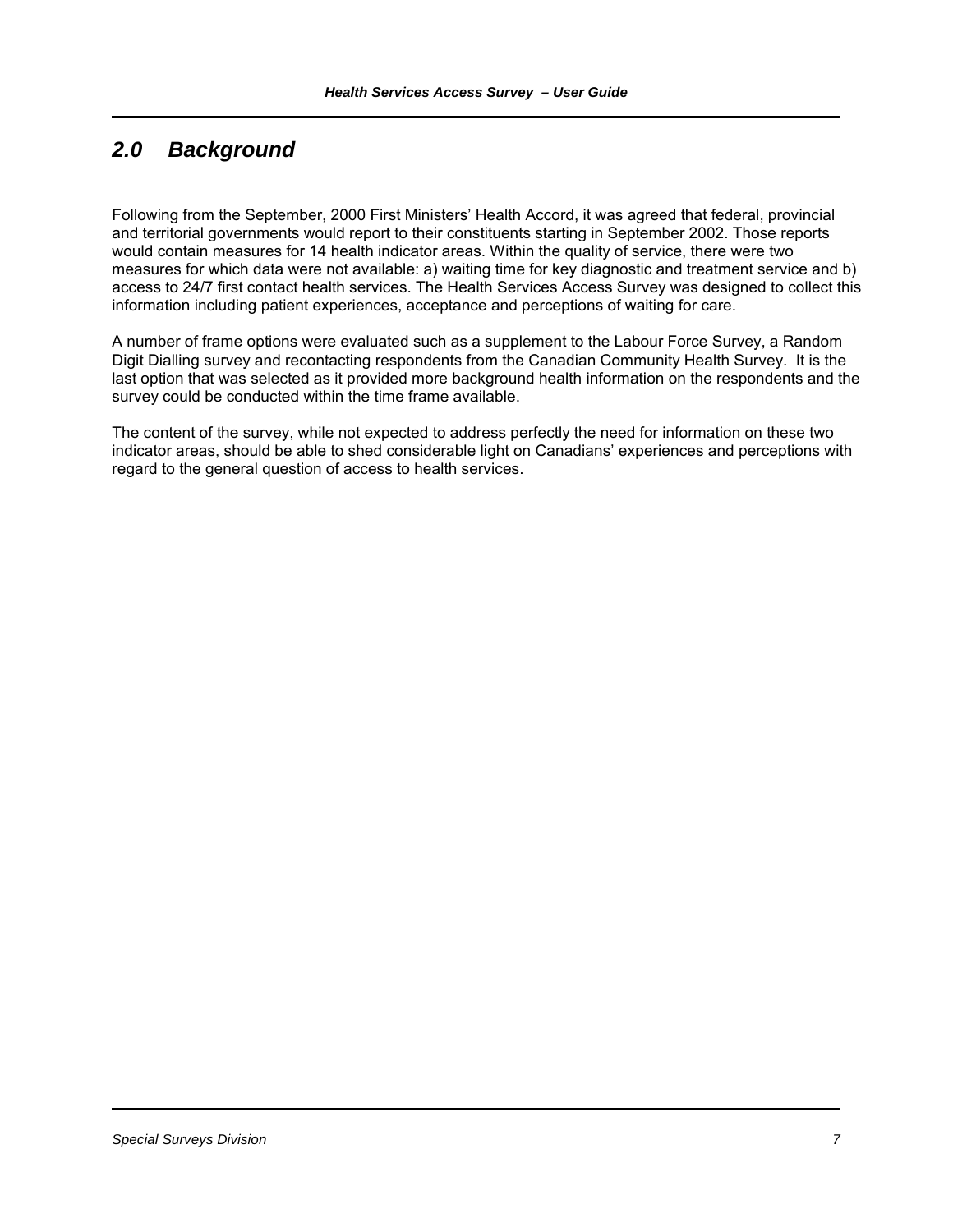# *2.0 Background*

Following from the September, 2000 First Ministers' Health Accord, it was agreed that federal, provincial and territorial governments would report to their constituents starting in September 2002. Those reports would contain measures for 14 health indicator areas. Within the quality of service, there were two measures for which data were not available: a) waiting time for key diagnostic and treatment service and b) access to 24/7 first contact health services. The Health Services Access Survey was designed to collect this information including patient experiences, acceptance and perceptions of waiting for care.

A number of frame options were evaluated such as a supplement to the Labour Force Survey, a Random Digit Dialling survey and recontacting respondents from the Canadian Community Health Survey. It is the last option that was selected as it provided more background health information on the respondents and the survey could be conducted within the time frame available.

The content of the survey, while not expected to address perfectly the need for information on these two indicator areas, should be able to shed considerable light on Canadians' experiences and perceptions with regard to the general question of access to health services.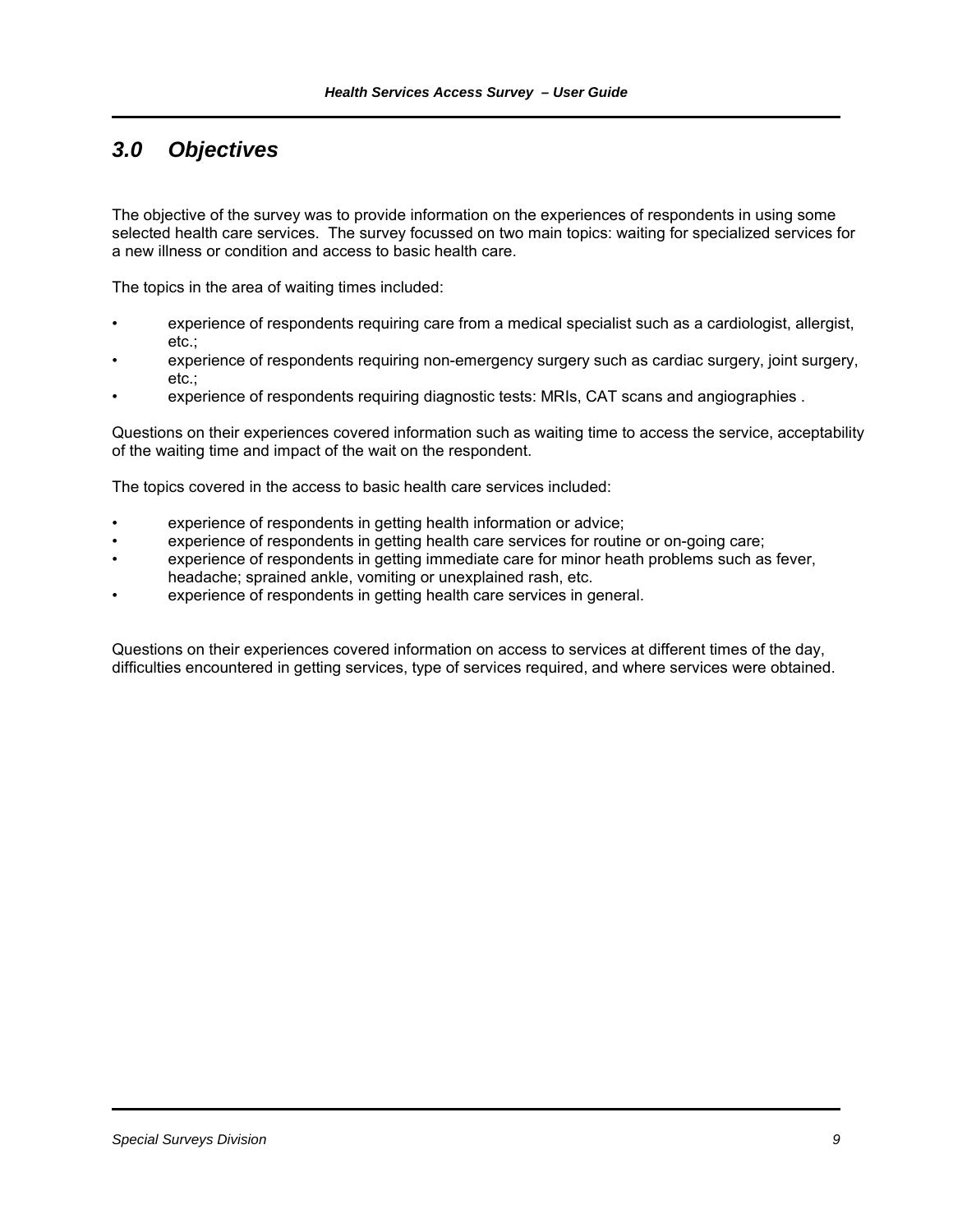# *3.0 Objectives*

The objective of the survey was to provide information on the experiences of respondents in using some selected health care services. The survey focussed on two main topics: waiting for specialized services for a new illness or condition and access to basic health care.

The topics in the area of waiting times included:

- experience of respondents requiring care from a medical specialist such as a cardiologist, allergist, etc.;
- experience of respondents requiring non-emergency surgery such as cardiac surgery, joint surgery, etc.;
- experience of respondents requiring diagnostic tests: MRIs, CAT scans and angiographies .

Questions on their experiences covered information such as waiting time to access the service, acceptability of the waiting time and impact of the wait on the respondent.

The topics covered in the access to basic health care services included:

- experience of respondents in getting health information or advice;
- experience of respondents in getting health care services for routine or on-going care;
- experience of respondents in getting immediate care for minor heath problems such as fever, headache; sprained ankle, vomiting or unexplained rash, etc.
- experience of respondents in getting health care services in general.

Questions on their experiences covered information on access to services at different times of the day, difficulties encountered in getting services, type of services required, and where services were obtained.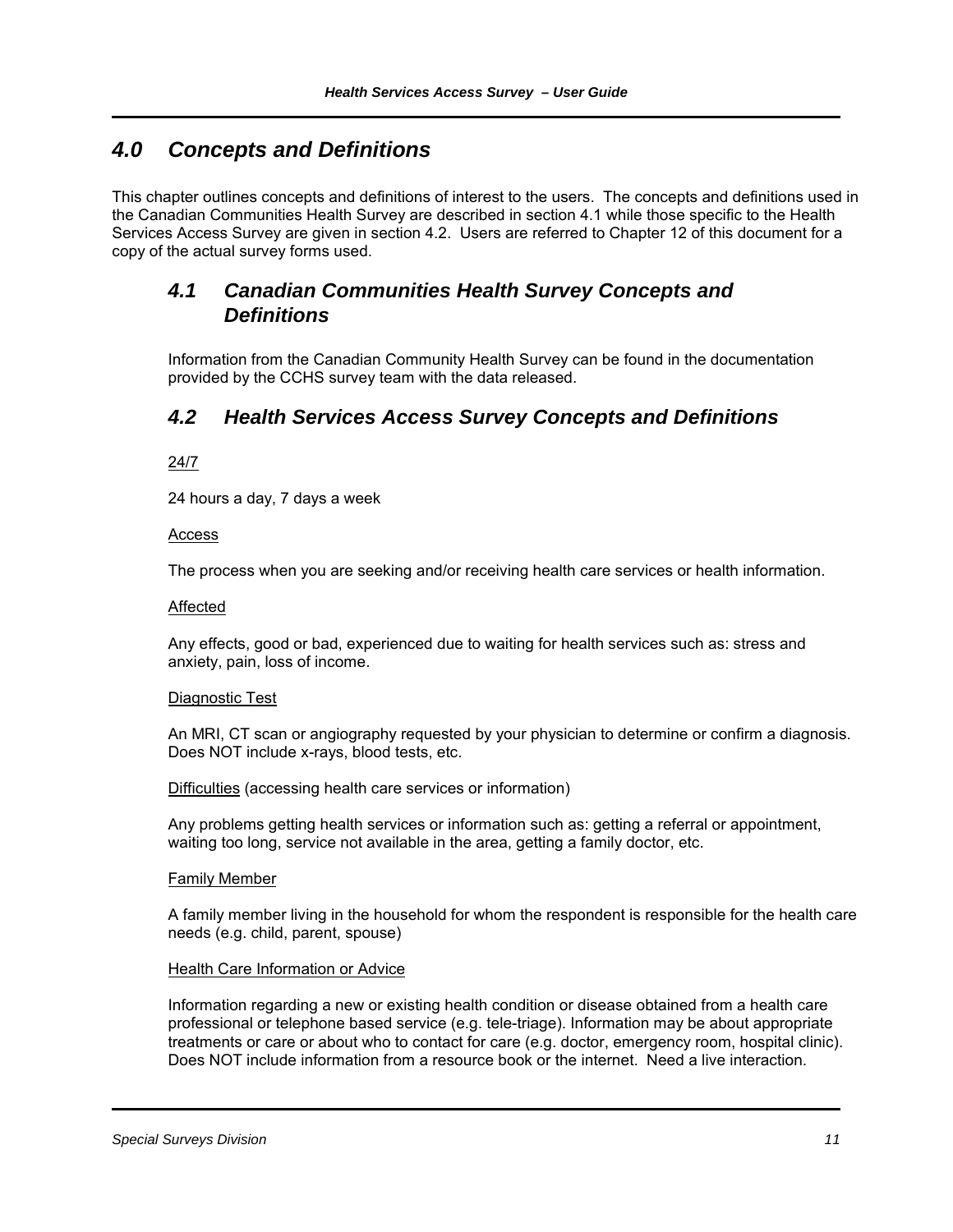## *4.0 Concepts and Definitions*

This chapter outlines concepts and definitions of interest to the users. The concepts and definitions used in the Canadian Communities Health Survey are described in section 4.1 while those specific to the Health Services Access Survey are given in section 4.2. Users are referred to Chapter 12 of this document for a copy of the actual survey forms used.

### *4.1 Canadian Communities Health Survey Concepts and Definitions*

Information from the Canadian Community Health Survey can be found in the documentation provided by the CCHS survey team with the data released.

### *4.2 Health Services Access Survey Concepts and Definitions*

#### 24/7

24 hours a day, 7 days a week

#### Access

The process when you are seeking and/or receiving health care services or health information.

#### Affected

Any effects, good or bad, experienced due to waiting for health services such as: stress and anxiety, pain, loss of income.

#### Diagnostic Test

An MRI, CT scan or angiography requested by your physician to determine or confirm a diagnosis. Does NOT include x-rays, blood tests, etc.

Difficulties (accessing health care services or information)

Any problems getting health services or information such as: getting a referral or appointment, waiting too long, service not available in the area, getting a family doctor, etc.

#### Family Member

A family member living in the household for whom the respondent is responsible for the health care needs (e.g. child, parent, spouse)

#### Health Care Information or Advice

Information regarding a new or existing health condition or disease obtained from a health care professional or telephone based service (e.g. tele-triage). Information may be about appropriate treatments or care or about who to contact for care (e.g. doctor, emergency room, hospital clinic). Does NOT include information from a resource book or the internet. Need a live interaction.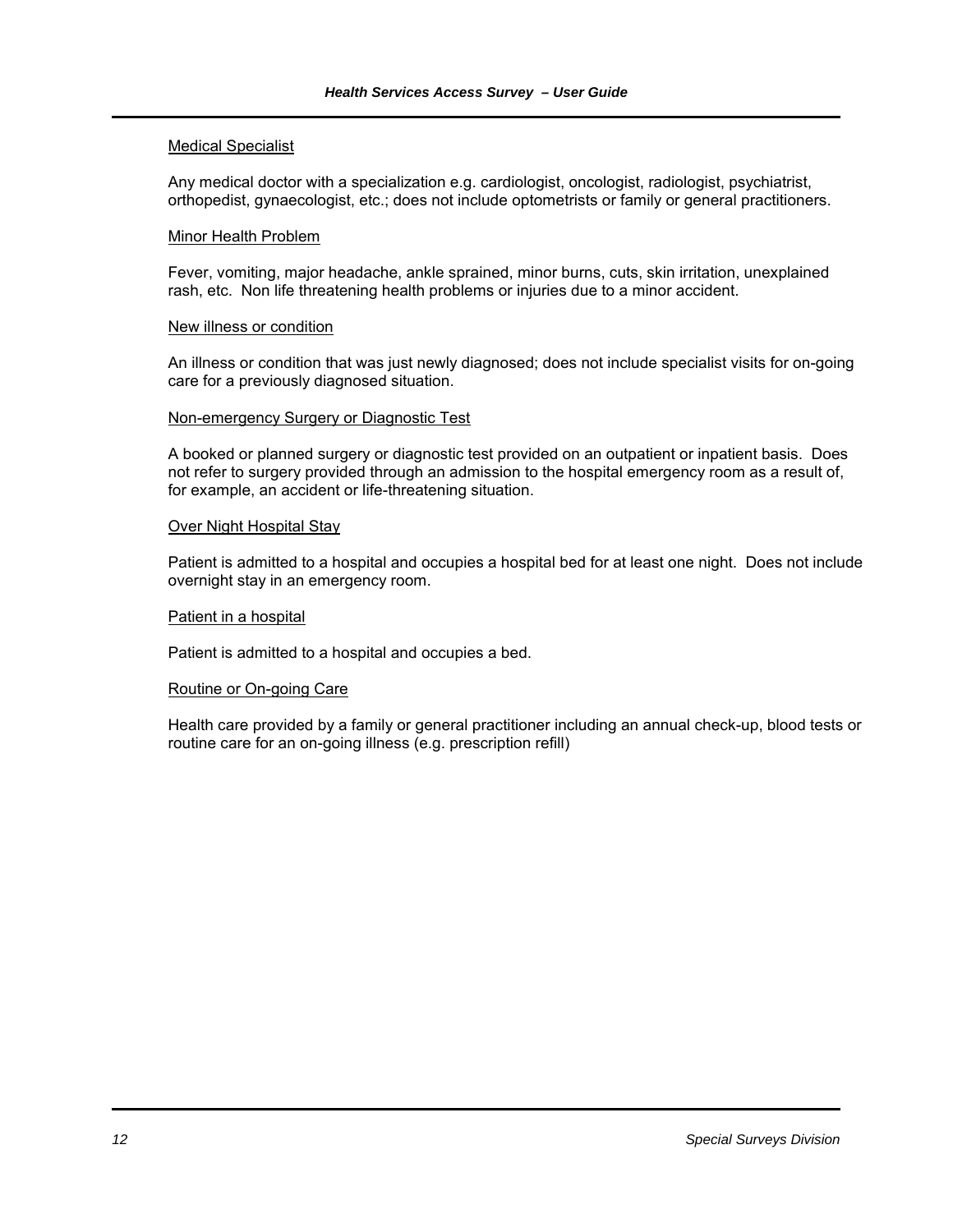#### Medical Specialist

Any medical doctor with a specialization e.g. cardiologist, oncologist, radiologist, psychiatrist, orthopedist, gynaecologist, etc.; does not include optometrists or family or general practitioners.

#### Minor Health Problem

Fever, vomiting, major headache, ankle sprained, minor burns, cuts, skin irritation, unexplained rash, etc. Non life threatening health problems or injuries due to a minor accident.

#### New illness or condition

An illness or condition that was just newly diagnosed; does not include specialist visits for on-going care for a previously diagnosed situation.

#### Non-emergency Surgery or Diagnostic Test

A booked or planned surgery or diagnostic test provided on an outpatient or inpatient basis. Does not refer to surgery provided through an admission to the hospital emergency room as a result of, for example, an accident or life-threatening situation.

#### Over Night Hospital Stay

Patient is admitted to a hospital and occupies a hospital bed for at least one night. Does not include overnight stay in an emergency room.

#### Patient in a hospital

Patient is admitted to a hospital and occupies a bed.

#### Routine or On-going Care

Health care provided by a family or general practitioner including an annual check-up, blood tests or routine care for an on-going illness (e.g. prescription refill)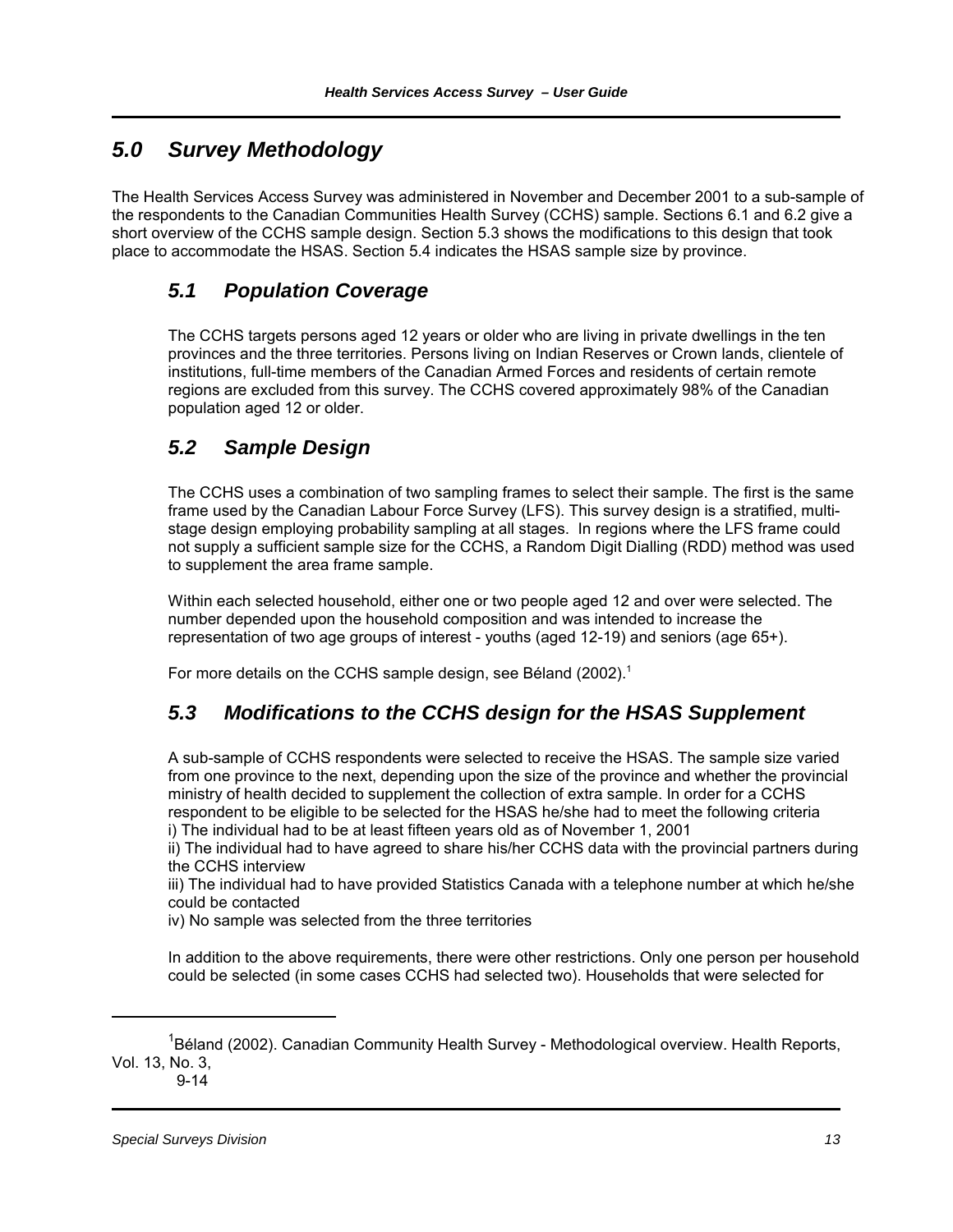# *5.0 Survey Methodology*

The Health Services Access Survey was administered in November and December 2001 to a sub-sample of the respondents to the Canadian Communities Health Survey (CCHS) sample. Sections 6.1 and 6.2 give a short overview of the CCHS sample design. Section 5.3 shows the modifications to this design that took place to accommodate the HSAS. Section 5.4 indicates the HSAS sample size by province.

# *5.1 Population Coverage*

The CCHS targets persons aged 12 years or older who are living in private dwellings in the ten provinces and the three territories. Persons living on Indian Reserves or Crown lands, clientele of institutions, full-time members of the Canadian Armed Forces and residents of certain remote regions are excluded from this survey. The CCHS covered approximately 98% of the Canadian population aged 12 or older.

## *5.2 Sample Design*

The CCHS uses a combination of two sampling frames to select their sample. The first is the same frame used by the Canadian Labour Force Survey (LFS). This survey design is a stratified, multistage design employing probability sampling at all stages. In regions where the LFS frame could not supply a sufficient sample size for the CCHS, a Random Digit Dialling (RDD) method was used to supplement the area frame sample.

Within each selected household, either one or two people aged 12 and over were selected. The number depended upon the household composition and was intended to increase the representation of two age groups of interest - youths (aged 12-19) and seniors (age 65+).

For more details on the CCHS sample design, see Béland (2002).<sup>1</sup>

### *5.3 Modifications to the CCHS design for the HSAS Supplement*

A sub-sample of CCHS respondents were selected to receive the HSAS. The sample size varied from one province to the next, depending upon the size of the province and whether the provincial ministry of health decided to supplement the collection of extra sample. In order for a CCHS respondent to be eligible to be selected for the HSAS he/she had to meet the following criteria i) The individual had to be at least fifteen years old as of November 1, 2001

ii) The individual had to have agreed to share his/her CCHS data with the provincial partners during the CCHS interview

iii) The individual had to have provided Statistics Canada with a telephone number at which he/she could be contacted

iv) No sample was selected from the three territories

In addition to the above requirements, there were other restrictions. Only one person per household could be selected (in some cases CCHS had selected two). Households that were selected for

9-14

<sup>&</sup>lt;sup>1</sup>Béland (2002). Canadian Community Health Survey - Methodological overview. Health Reports, Vol. 13, No. 3,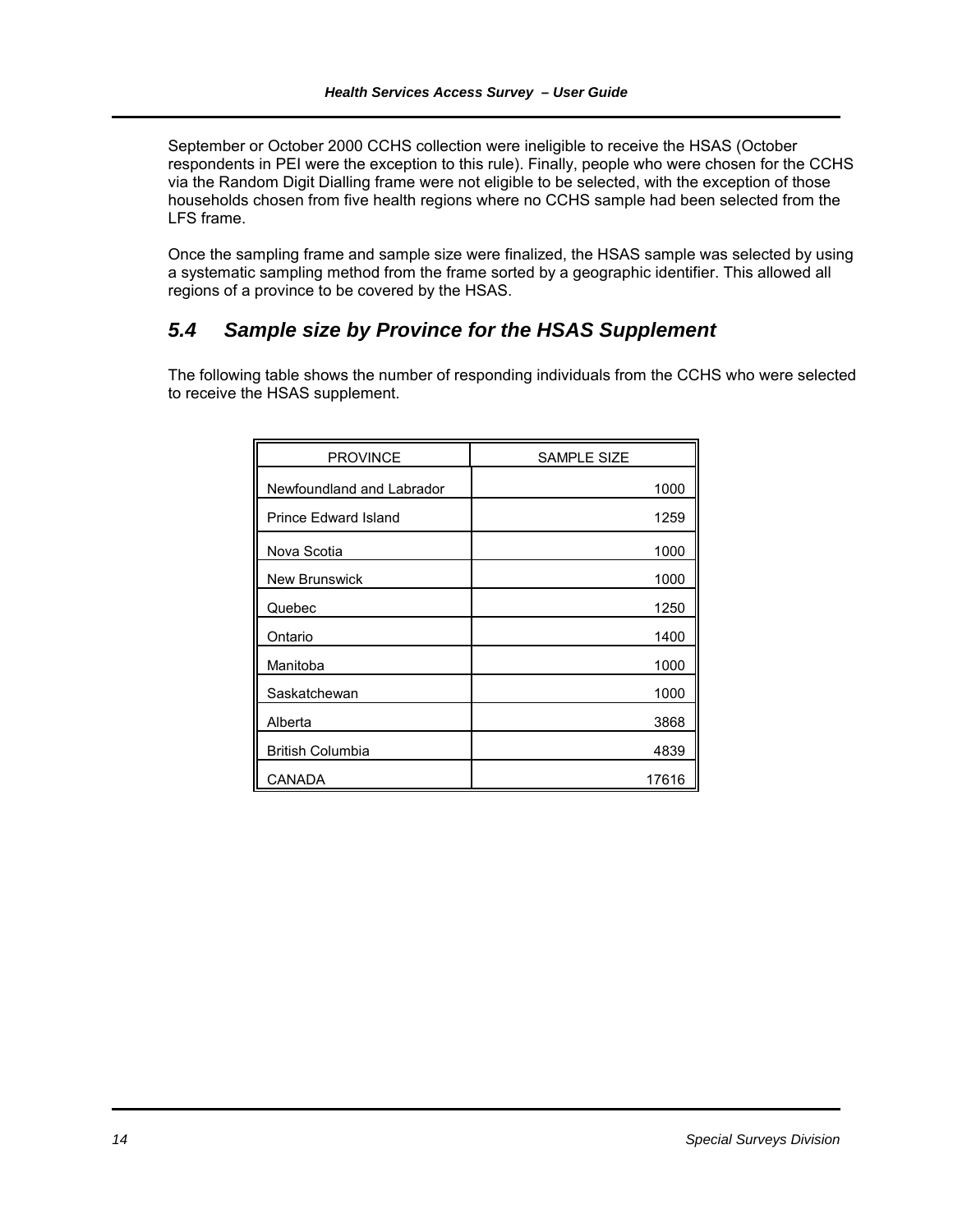September or October 2000 CCHS collection were ineligible to receive the HSAS (October respondents in PEI were the exception to this rule). Finally, people who were chosen for the CCHS via the Random Digit Dialling frame were not eligible to be selected, with the exception of those households chosen from five health regions where no CCHS sample had been selected from the LFS frame.

Once the sampling frame and sample size were finalized, the HSAS sample was selected by using a systematic sampling method from the frame sorted by a geographic identifier. This allowed all regions of a province to be covered by the HSAS.

### *5.4 Sample size by Province for the HSAS Supplement*

The following table shows the number of responding individuals from the CCHS who were selected to receive the HSAS supplement.

| <b>PROVINCE</b>           | <b>SAMPLE SIZE</b> |
|---------------------------|--------------------|
| Newfoundland and Labrador | 1000               |
| Prince Edward Island      | 1259               |
| Nova Scotia               | 1000               |
| New Brunswick             | 1000               |
| Quebec                    | 1250               |
| Ontario                   | 1400               |
| Manitoba                  | 1000               |
| Saskatchewan              | 1000               |
| Alberta                   | 3868               |
| <b>British Columbia</b>   | 4839               |
| CANADA                    | 17616              |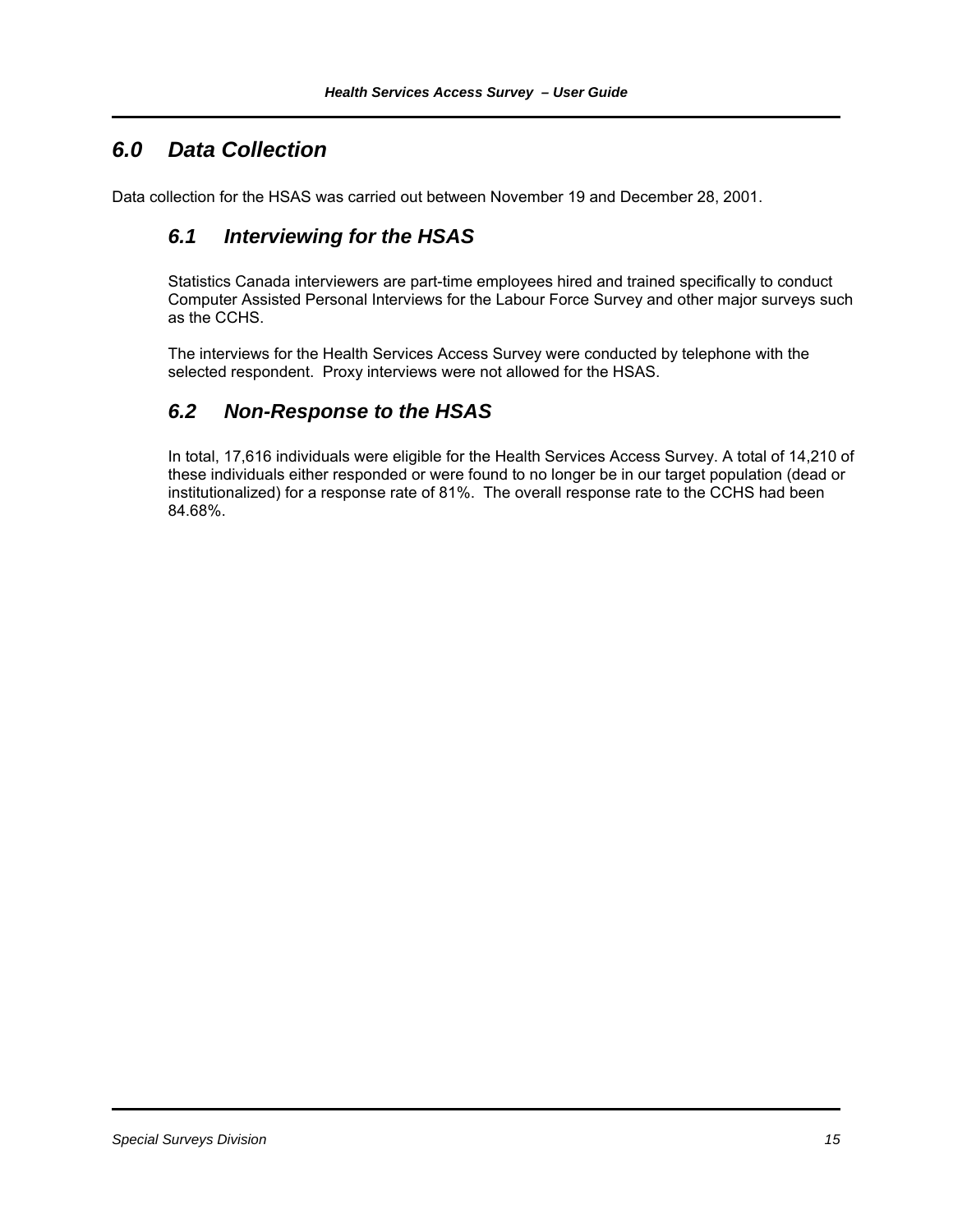# *6.0 Data Collection*

Data collection for the HSAS was carried out between November 19 and December 28, 2001.

### *6.1 Interviewing for the HSAS*

Statistics Canada interviewers are part-time employees hired and trained specifically to conduct Computer Assisted Personal Interviews for the Labour Force Survey and other major surveys such as the CCHS.

The interviews for the Health Services Access Survey were conducted by telephone with the selected respondent. Proxy interviews were not allowed for the HSAS.

### *6.2 Non-Response to the HSAS*

In total, 17,616 individuals were eligible for the Health Services Access Survey. A total of 14,210 of these individuals either responded or were found to no longer be in our target population (dead or institutionalized) for a response rate of 81%. The overall response rate to the CCHS had been 84.68%.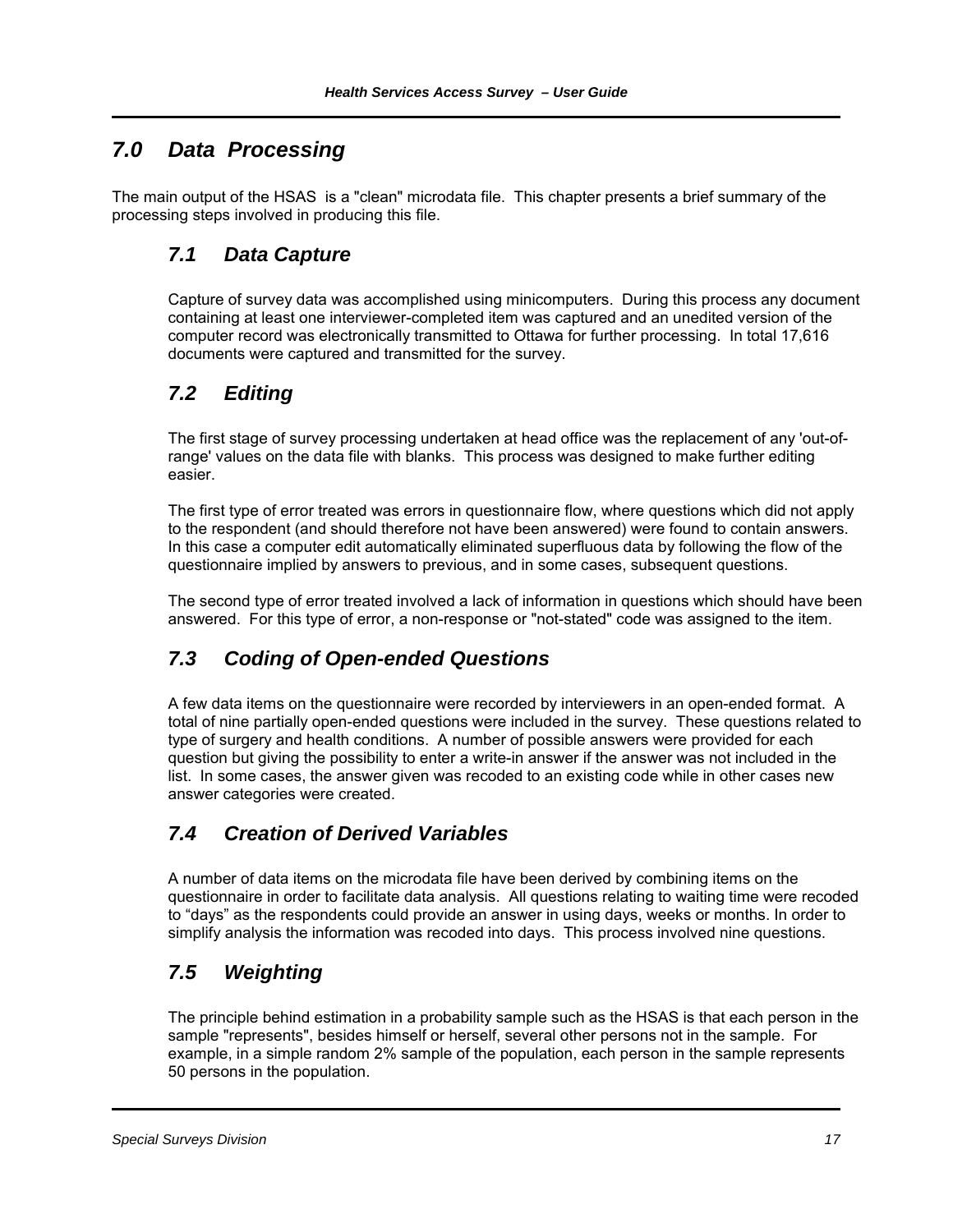# *7.0 Data Processing*

The main output of the HSAS is a "clean" microdata file. This chapter presents a brief summary of the processing steps involved in producing this file.

# *7.1 Data Capture*

Capture of survey data was accomplished using minicomputers. During this process any document containing at least one interviewer-completed item was captured and an unedited version of the computer record was electronically transmitted to Ottawa for further processing. In total 17,616 documents were captured and transmitted for the survey.

# *7.2 Editing*

The first stage of survey processing undertaken at head office was the replacement of any 'out-ofrange' values on the data file with blanks. This process was designed to make further editing easier.

The first type of error treated was errors in questionnaire flow, where questions which did not apply to the respondent (and should therefore not have been answered) were found to contain answers. In this case a computer edit automatically eliminated superfluous data by following the flow of the questionnaire implied by answers to previous, and in some cases, subsequent questions.

The second type of error treated involved a lack of information in questions which should have been answered. For this type of error, a non-response or "not-stated" code was assigned to the item.

# *7.3 Coding of Open-ended Questions*

A few data items on the questionnaire were recorded by interviewers in an open-ended format. A total of nine partially open-ended questions were included in the survey. These questions related to type of surgery and health conditions. A number of possible answers were provided for each question but giving the possibility to enter a write-in answer if the answer was not included in the list. In some cases, the answer given was recoded to an existing code while in other cases new answer categories were created.

# *7.4 Creation of Derived Variables*

A number of data items on the microdata file have been derived by combining items on the questionnaire in order to facilitate data analysis. All questions relating to waiting time were recoded to "days" as the respondents could provide an answer in using days, weeks or months. In order to simplify analysis the information was recoded into days. This process involved nine questions.

# *7.5 Weighting*

The principle behind estimation in a probability sample such as the HSAS is that each person in the sample "represents", besides himself or herself, several other persons not in the sample. For example, in a simple random 2% sample of the population, each person in the sample represents 50 persons in the population.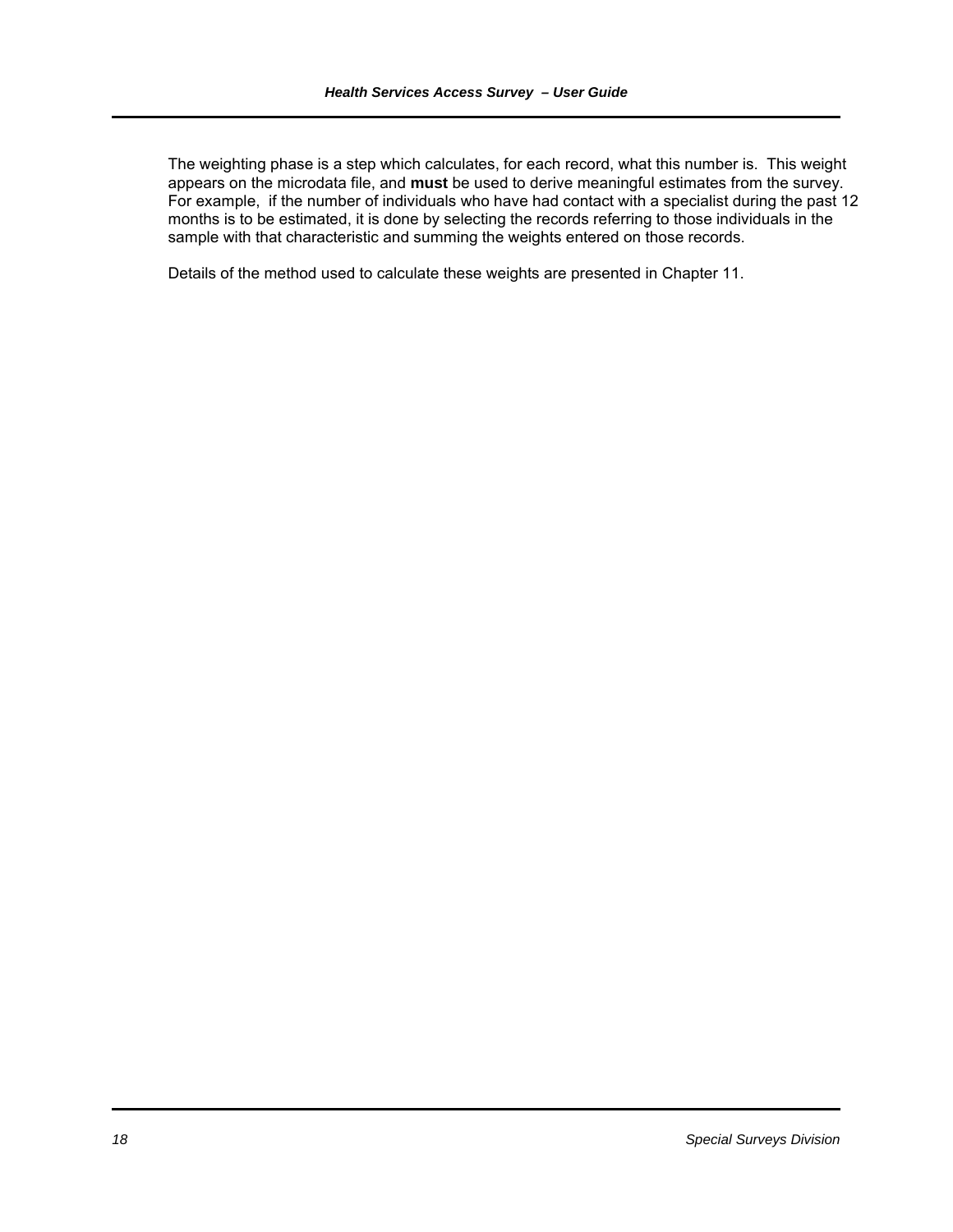The weighting phase is a step which calculates, for each record, what this number is. This weight appears on the microdata file, and **must** be used to derive meaningful estimates from the survey. For example, if the number of individuals who have had contact with a specialist during the past 12 months is to be estimated, it is done by selecting the records referring to those individuals in the sample with that characteristic and summing the weights entered on those records.

Details of the method used to calculate these weights are presented in Chapter 11.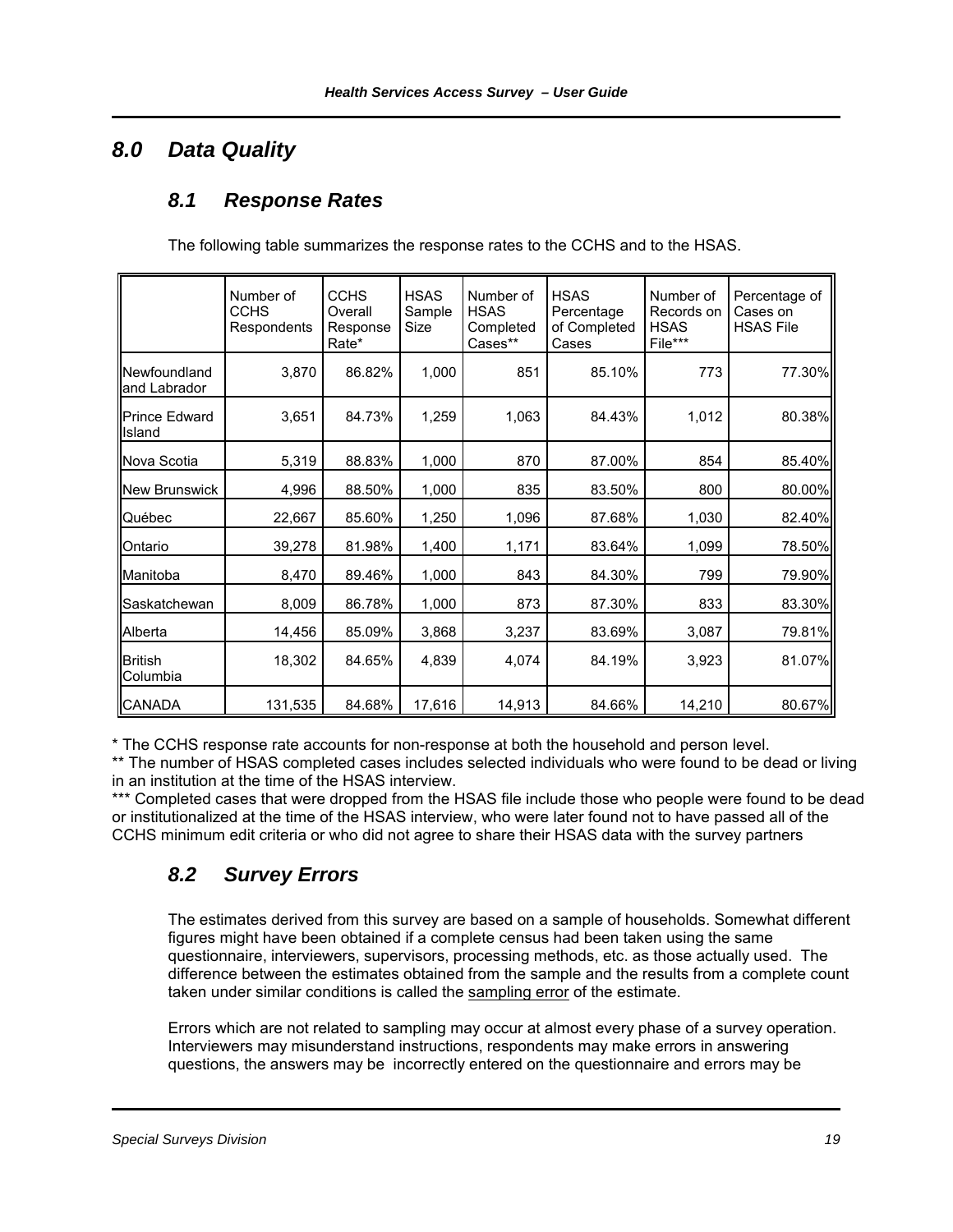# *8.0 Data Quality*

### *8.1 Response Rates*

The following table summarizes the response rates to the CCHS and to the HSAS.

|                                | Number of<br><b>CCHS</b><br>Respondents | <b>CCHS</b><br>Overall<br>Response<br>Rate* | <b>HSAS</b><br>Sample<br>Size | Number of<br><b>HSAS</b><br>Completed<br>Cases** | <b>HSAS</b><br>Percentage<br>of Completed<br>Cases | Number of<br>Records on<br><b>HSAS</b><br>File*** | Percentage of<br>Cases on<br><b>HSAS File</b> |
|--------------------------------|-----------------------------------------|---------------------------------------------|-------------------------------|--------------------------------------------------|----------------------------------------------------|---------------------------------------------------|-----------------------------------------------|
| Newfoundland<br>and Labrador   | 3,870                                   | 86.82%                                      | 1,000                         | 851                                              | 85.10%                                             | 773                                               | 77.30%                                        |
| <b>Prince Edward</b><br>Island | 3,651                                   | 84.73%                                      | 1,259                         | 1,063                                            | 84.43%                                             | 1,012                                             | 80.38%                                        |
| Nova Scotia                    | 5,319                                   | 88.83%                                      | 1,000                         | 870                                              | 87.00%                                             | 854                                               | 85.40%                                        |
| <b>New Brunswick</b>           | 4,996                                   | 88.50%                                      | 1,000                         | 835                                              | 83.50%                                             | 800                                               | 80.00%                                        |
| Québec                         | 22,667                                  | 85.60%                                      | 1,250                         | 1,096                                            | 87.68%                                             | 1,030                                             | 82.40%                                        |
| Ontario                        | 39,278                                  | 81.98%                                      | 1,400                         | 1,171                                            | 83.64%                                             | 1,099                                             | 78.50%                                        |
| Manitoba                       | 8,470                                   | 89.46%                                      | 1,000                         | 843                                              | 84.30%                                             | 799                                               | 79.90%                                        |
| Saskatchewan                   | 8,009                                   | 86.78%                                      | 1,000                         | 873                                              | 87.30%                                             | 833                                               | 83.30%                                        |
| Alberta                        | 14,456                                  | 85.09%                                      | 3,868                         | 3,237                                            | 83.69%                                             | 3,087                                             | 79.81%                                        |
| <b>British</b><br>Columbia     | 18,302                                  | 84.65%                                      | 4,839                         | 4,074                                            | 84.19%                                             | 3,923                                             | 81.07%                                        |
| <b>CANADA</b>                  | 131,535                                 | 84.68%                                      | 17,616                        | 14,913                                           | 84.66%                                             | 14,210                                            | 80.67%                                        |

\* The CCHS response rate accounts for non-response at both the household and person level.

\*\* The number of HSAS completed cases includes selected individuals who were found to be dead or living in an institution at the time of the HSAS interview.

\*\*\* Completed cases that were dropped from the HSAS file include those who people were found to be dead or institutionalized at the time of the HSAS interview, who were later found not to have passed all of the CCHS minimum edit criteria or who did not agree to share their HSAS data with the survey partners

# *8.2 Survey Errors*

The estimates derived from this survey are based on a sample of households. Somewhat different figures might have been obtained if a complete census had been taken using the same questionnaire, interviewers, supervisors, processing methods, etc. as those actually used. The difference between the estimates obtained from the sample and the results from a complete count taken under similar conditions is called the sampling error of the estimate.

Errors which are not related to sampling may occur at almost every phase of a survey operation. Interviewers may misunderstand instructions, respondents may make errors in answering questions, the answers may be incorrectly entered on the questionnaire and errors may be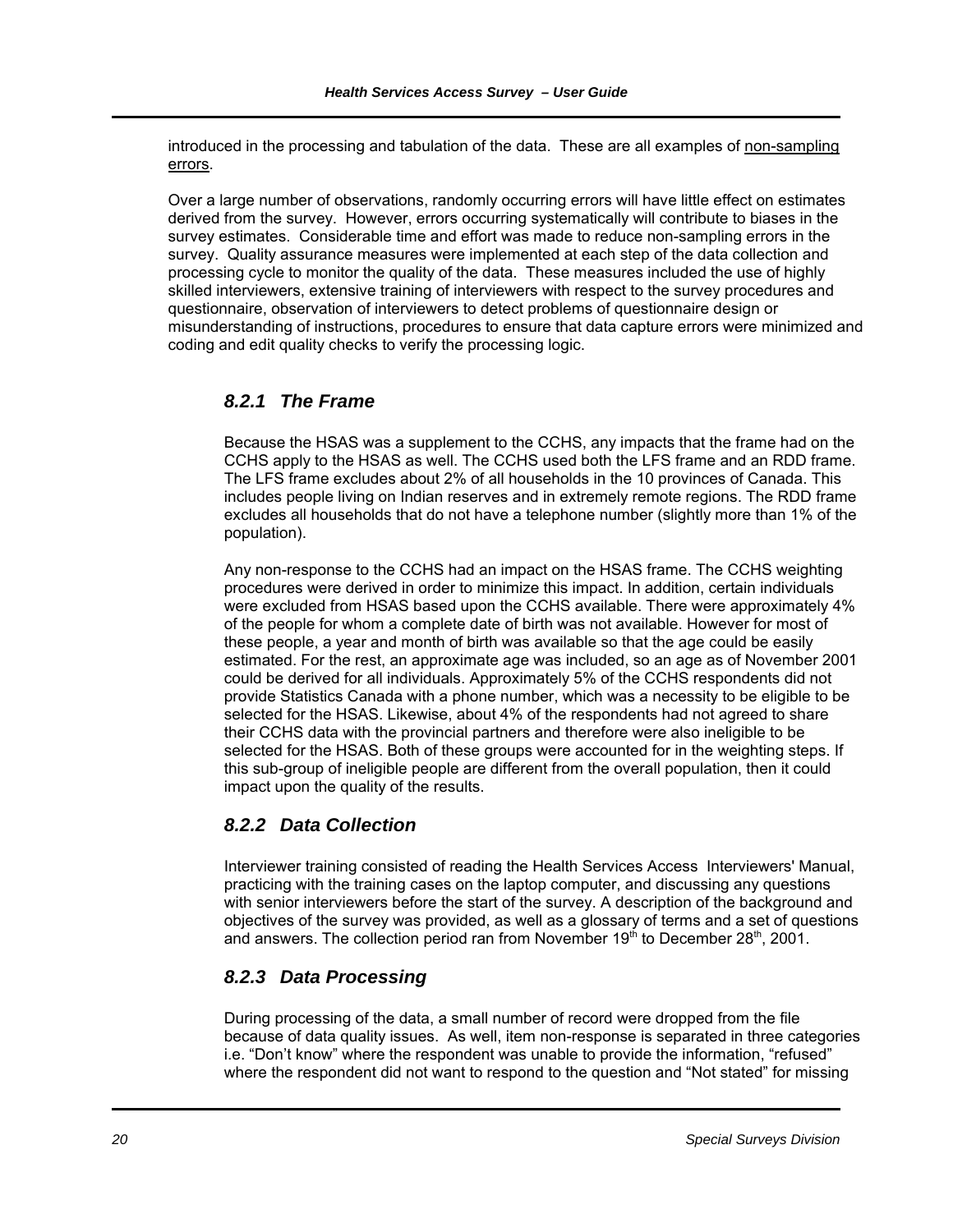introduced in the processing and tabulation of the data. These are all examples of non-sampling errors.

Over a large number of observations, randomly occurring errors will have little effect on estimates derived from the survey. However, errors occurring systematically will contribute to biases in the survey estimates. Considerable time and effort was made to reduce non-sampling errors in the survey. Quality assurance measures were implemented at each step of the data collection and processing cycle to monitor the quality of the data. These measures included the use of highly skilled interviewers, extensive training of interviewers with respect to the survey procedures and questionnaire, observation of interviewers to detect problems of questionnaire design or misunderstanding of instructions, procedures to ensure that data capture errors were minimized and coding and edit quality checks to verify the processing logic.

### *8.2.1 The Frame*

Because the HSAS was a supplement to the CCHS, any impacts that the frame had on the CCHS apply to the HSAS as well. The CCHS used both the LFS frame and an RDD frame. The LFS frame excludes about 2% of all households in the 10 provinces of Canada. This includes people living on Indian reserves and in extremely remote regions. The RDD frame excludes all households that do not have a telephone number (slightly more than 1% of the population).

Any non-response to the CCHS had an impact on the HSAS frame. The CCHS weighting procedures were derived in order to minimize this impact. In addition, certain individuals were excluded from HSAS based upon the CCHS available. There were approximately 4% of the people for whom a complete date of birth was not available. However for most of these people, a year and month of birth was available so that the age could be easily estimated. For the rest, an approximate age was included, so an age as of November 2001 could be derived for all individuals. Approximately 5% of the CCHS respondents did not provide Statistics Canada with a phone number, which was a necessity to be eligible to be selected for the HSAS. Likewise, about 4% of the respondents had not agreed to share their CCHS data with the provincial partners and therefore were also ineligible to be selected for the HSAS. Both of these groups were accounted for in the weighting steps. If this sub-group of ineligible people are different from the overall population, then it could impact upon the quality of the results.

### *8.2.2 Data Collection*

Interviewer training consisted of reading the Health Services Access Interviewers' Manual, practicing with the training cases on the laptop computer, and discussing any questions with senior interviewers before the start of the survey. A description of the background and objectives of the survey was provided, as well as a glossary of terms and a set of questions and answers. The collection period ran from November  $19<sup>th</sup>$  to December  $28<sup>th</sup>$ , 2001.

### *8.2.3 Data Processing*

During processing of the data, a small number of record were dropped from the file because of data quality issues. As well, item non-response is separated in three categories i.e. "Don't know" where the respondent was unable to provide the information, "refused" where the respondent did not want to respond to the question and "Not stated" for missing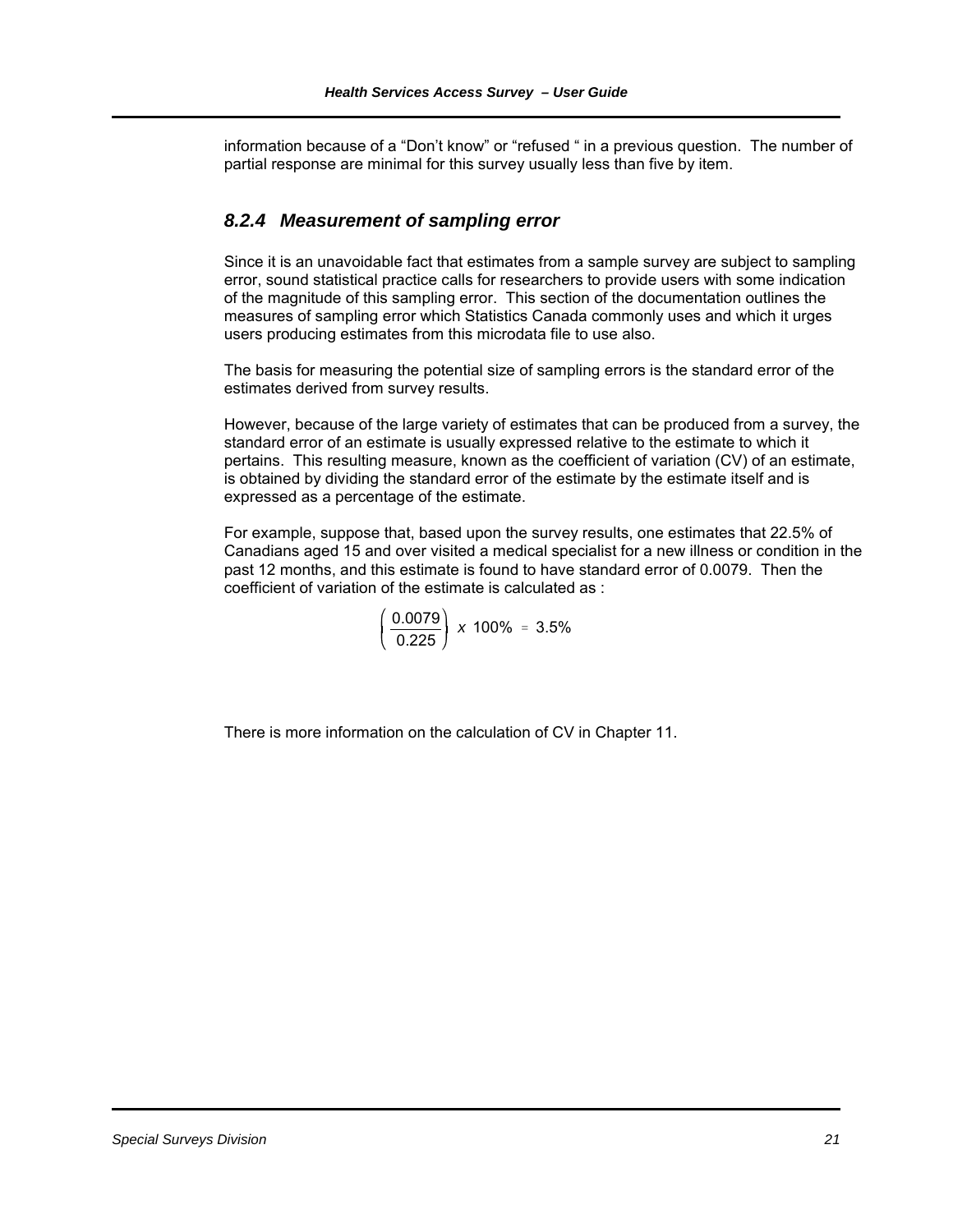information because of a "Don't know" or "refused " in a previous question. The number of partial response are minimal for this survey usually less than five by item.

### *8.2.4 Measurement of sampling error*

Since it is an unavoidable fact that estimates from a sample survey are subject to sampling error, sound statistical practice calls for researchers to provide users with some indication of the magnitude of this sampling error. This section of the documentation outlines the measures of sampling error which Statistics Canada commonly uses and which it urges users producing estimates from this microdata file to use also.

The basis for measuring the potential size of sampling errors is the standard error of the estimates derived from survey results.

However, because of the large variety of estimates that can be produced from a survey, the standard error of an estimate is usually expressed relative to the estimate to which it pertains. This resulting measure, known as the coefficient of variation (CV) of an estimate, is obtained by dividing the standard error of the estimate by the estimate itself and is expressed as a percentage of the estimate.

For example, suppose that, based upon the survey results, one estimates that 22.5% of Canadians aged 15 and over visited a medical specialist for a new illness or condition in the past 12 months, and this estimate is found to have standard error of 0.0079. Then the coefficient of variation of the estimate is calculated as :

$$
\left(\frac{0.0079}{0.225}\right) \times 100\% = 3.5\%
$$

There is more information on the calculation of CV in Chapter 11.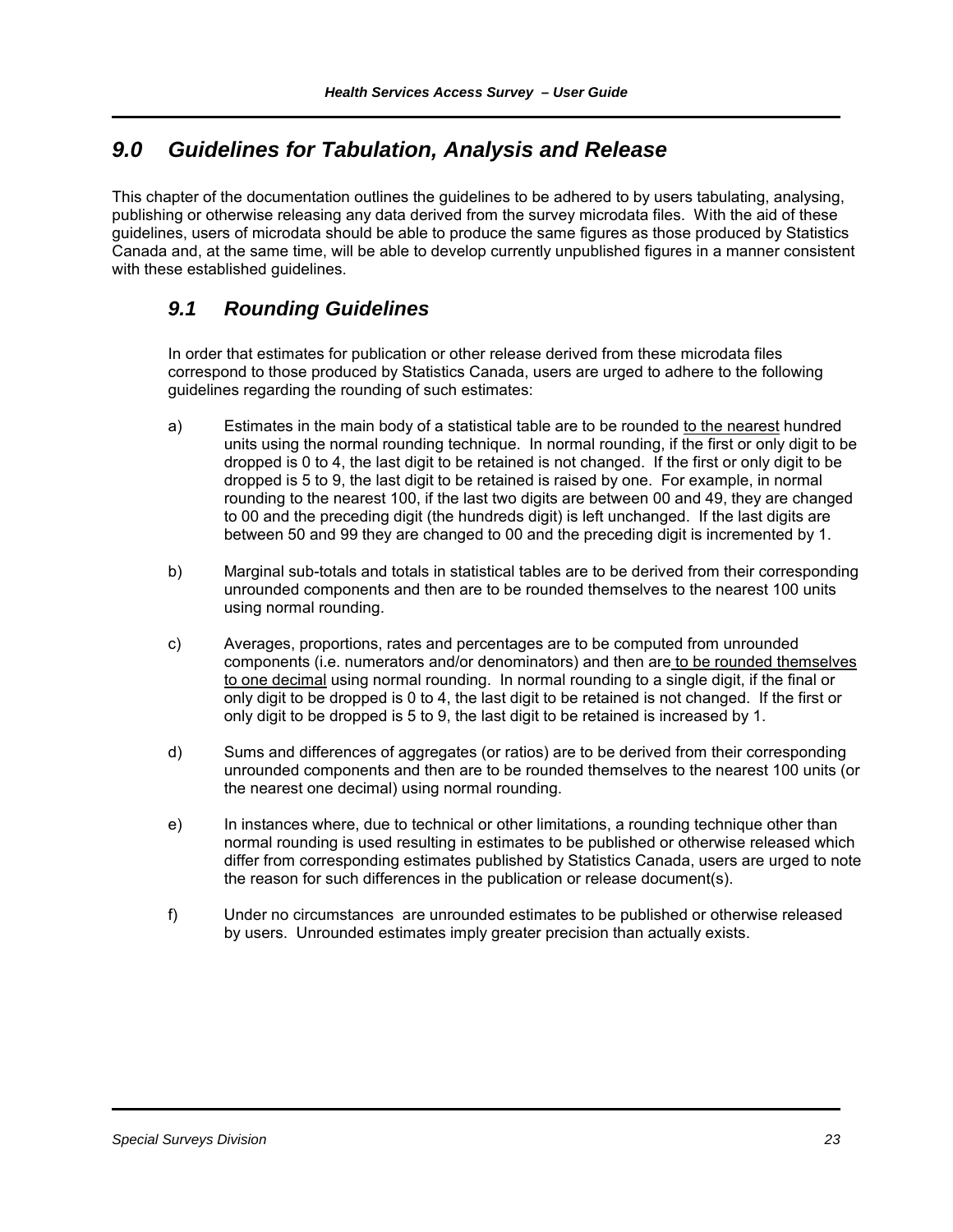## *9.0 Guidelines for Tabulation, Analysis and Release*

This chapter of the documentation outlines the guidelines to be adhered to by users tabulating, analysing, publishing or otherwise releasing any data derived from the survey microdata files. With the aid of these guidelines, users of microdata should be able to produce the same figures as those produced by Statistics Canada and, at the same time, will be able to develop currently unpublished figures in a manner consistent with these established guidelines.

### *9.1 Rounding Guidelines*

In order that estimates for publication or other release derived from these microdata files correspond to those produced by Statistics Canada, users are urged to adhere to the following guidelines regarding the rounding of such estimates:

- a) Estimates in the main body of a statistical table are to be rounded to the nearest hundred units using the normal rounding technique. In normal rounding, if the first or only digit to be dropped is 0 to 4, the last digit to be retained is not changed. If the first or only digit to be dropped is 5 to 9, the last digit to be retained is raised by one. For example, in normal rounding to the nearest 100, if the last two digits are between 00 and 49, they are changed to 00 and the preceding digit (the hundreds digit) is left unchanged. If the last digits are between 50 and 99 they are changed to 00 and the preceding digit is incremented by 1.
- b) Marginal sub-totals and totals in statistical tables are to be derived from their corresponding unrounded components and then are to be rounded themselves to the nearest 100 units using normal rounding.
- c) Averages, proportions, rates and percentages are to be computed from unrounded components (i.e. numerators and/or denominators) and then are to be rounded themselves to one decimal using normal rounding. In normal rounding to a single digit, if the final or only digit to be dropped is 0 to 4, the last digit to be retained is not changed. If the first or only digit to be dropped is 5 to 9, the last digit to be retained is increased by 1.
- d) Sums and differences of aggregates (or ratios) are to be derived from their corresponding unrounded components and then are to be rounded themselves to the nearest 100 units (or the nearest one decimal) using normal rounding.
- e) In instances where, due to technical or other limitations, a rounding technique other than normal rounding is used resulting in estimates to be published or otherwise released which differ from corresponding estimates published by Statistics Canada, users are urged to note the reason for such differences in the publication or release document(s).
- f) Under no circumstances are unrounded estimates to be published or otherwise released by users. Unrounded estimates imply greater precision than actually exists.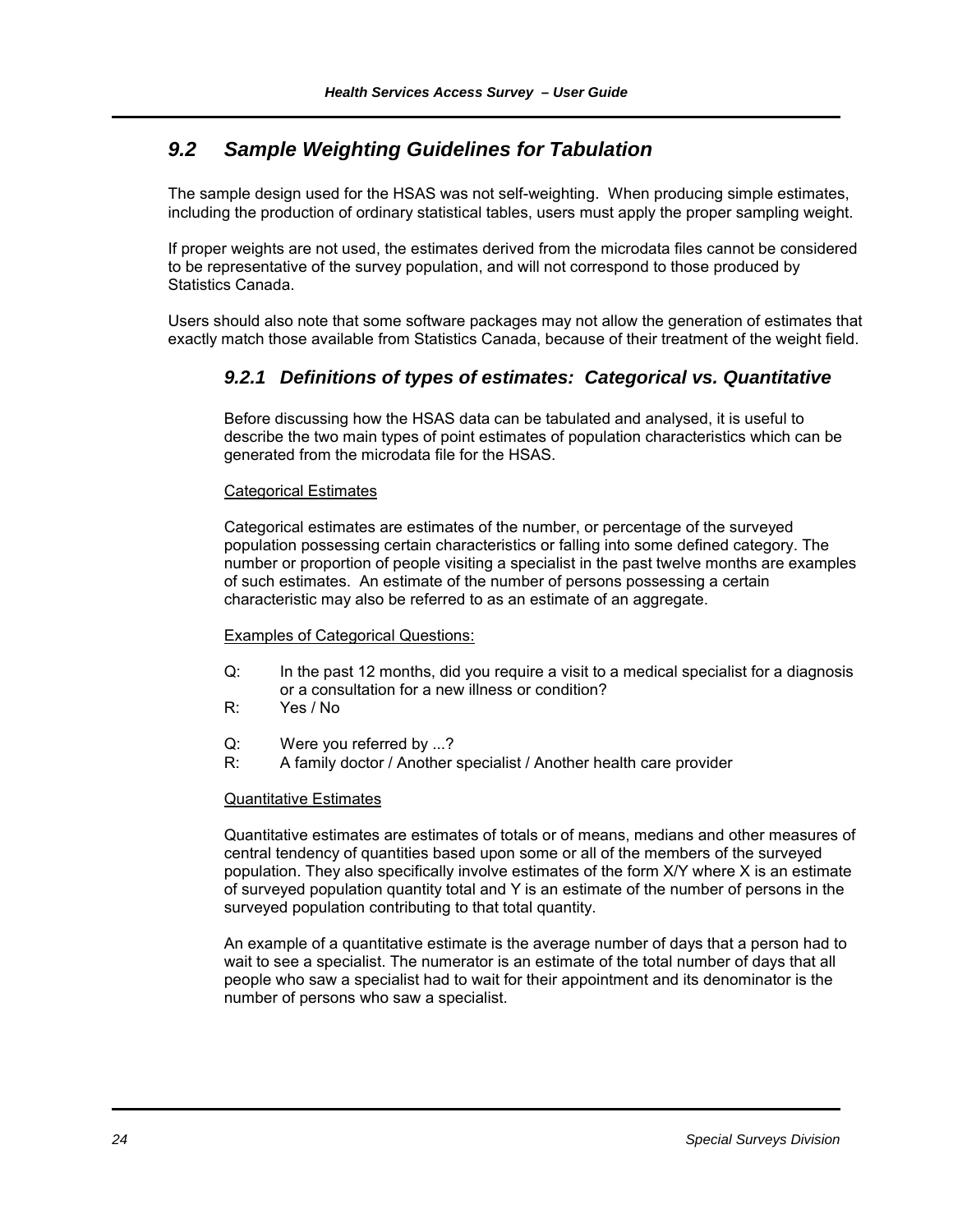### *9.2 Sample Weighting Guidelines for Tabulation*

The sample design used for the HSAS was not self-weighting. When producing simple estimates, including the production of ordinary statistical tables, users must apply the proper sampling weight.

If proper weights are not used, the estimates derived from the microdata files cannot be considered to be representative of the survey population, and will not correspond to those produced by Statistics Canada.

Users should also note that some software packages may not allow the generation of estimates that exactly match those available from Statistics Canada, because of their treatment of the weight field.

### *9.2.1 Definitions of types of estimates: Categorical vs. Quantitative*

Before discussing how the HSAS data can be tabulated and analysed, it is useful to describe the two main types of point estimates of population characteristics which can be generated from the microdata file for the HSAS.

#### Categorical Estimates

Categorical estimates are estimates of the number, or percentage of the surveyed population possessing certain characteristics or falling into some defined category. The number or proportion of people visiting a specialist in the past twelve months are examples of such estimates. An estimate of the number of persons possessing a certain characteristic may also be referred to as an estimate of an aggregate.

#### Examples of Categorical Questions:

- Q: In the past 12 months, did you require a visit to a medical specialist for a diagnosis or a consultation for a new illness or condition?
- R: Yes / No
- Q: Were you referred by ...?<br>R: A family doctor / Another
- A family doctor / Another specialist / Another health care provider

#### Quantitative Estimates

Quantitative estimates are estimates of totals or of means, medians and other measures of central tendency of quantities based upon some or all of the members of the surveyed population. They also specifically involve estimates of the form X/Y where X is an estimate of surveyed population quantity total and Y is an estimate of the number of persons in the surveyed population contributing to that total quantity.

An example of a quantitative estimate is the average number of days that a person had to wait to see a specialist. The numerator is an estimate of the total number of days that all people who saw a specialist had to wait for their appointment and its denominator is the number of persons who saw a specialist.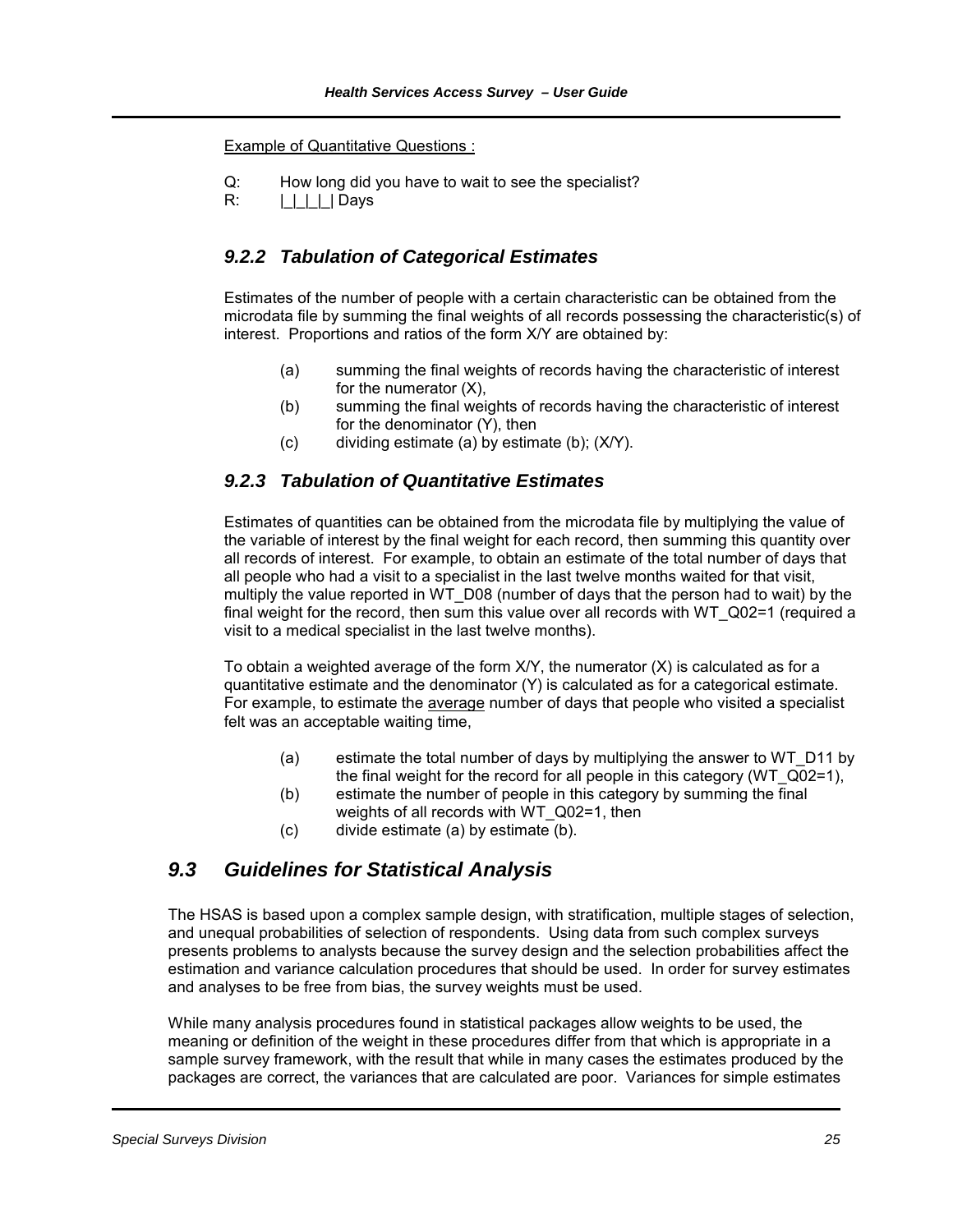Example of Quantitative Questions :

Q: How long did you have to wait to see the specialist?

R: | | | | | Days

### *9.2.2 Tabulation of Categorical Estimates*

Estimates of the number of people with a certain characteristic can be obtained from the microdata file by summing the final weights of all records possessing the characteristic(s) of interest. Proportions and ratios of the form X/Y are obtained by:

- (a) summing the final weights of records having the characteristic of interest for the numerator (X),
- (b) summing the final weights of records having the characteristic of interest for the denominator (Y), then
- (c) dividing estimate (a) by estimate (b); (X/Y).

### *9.2.3 Tabulation of Quantitative Estimates*

Estimates of quantities can be obtained from the microdata file by multiplying the value of the variable of interest by the final weight for each record, then summing this quantity over all records of interest. For example, to obtain an estimate of the total number of days that all people who had a visit to a specialist in the last twelve months waited for that visit, multiply the value reported in WT\_D08 (number of days that the person had to wait) by the final weight for the record, then sum this value over all records with WT\_Q02=1 (required a visit to a medical specialist in the last twelve months).

To obtain a weighted average of the form  $X/Y$ , the numerator  $(X)$  is calculated as for a quantitative estimate and the denominator (Y) is calculated as for a categorical estimate. For example, to estimate the average number of days that people who visited a specialist felt was an acceptable waiting time,

- (a) estimate the total number of days by multiplying the answer to WT\_D11 by the final weight for the record for all people in this category (WT\_Q02=1),
- (b) estimate the number of people in this category by summing the final weights of all records with WT\_Q02=1, then
- (c) divide estimate (a) by estimate (b).

### *9.3 Guidelines for Statistical Analysis*

The HSAS is based upon a complex sample design, with stratification, multiple stages of selection, and unequal probabilities of selection of respondents. Using data from such complex surveys presents problems to analysts because the survey design and the selection probabilities affect the estimation and variance calculation procedures that should be used. In order for survey estimates and analyses to be free from bias, the survey weights must be used.

While many analysis procedures found in statistical packages allow weights to be used, the meaning or definition of the weight in these procedures differ from that which is appropriate in a sample survey framework, with the result that while in many cases the estimates produced by the packages are correct, the variances that are calculated are poor. Variances for simple estimates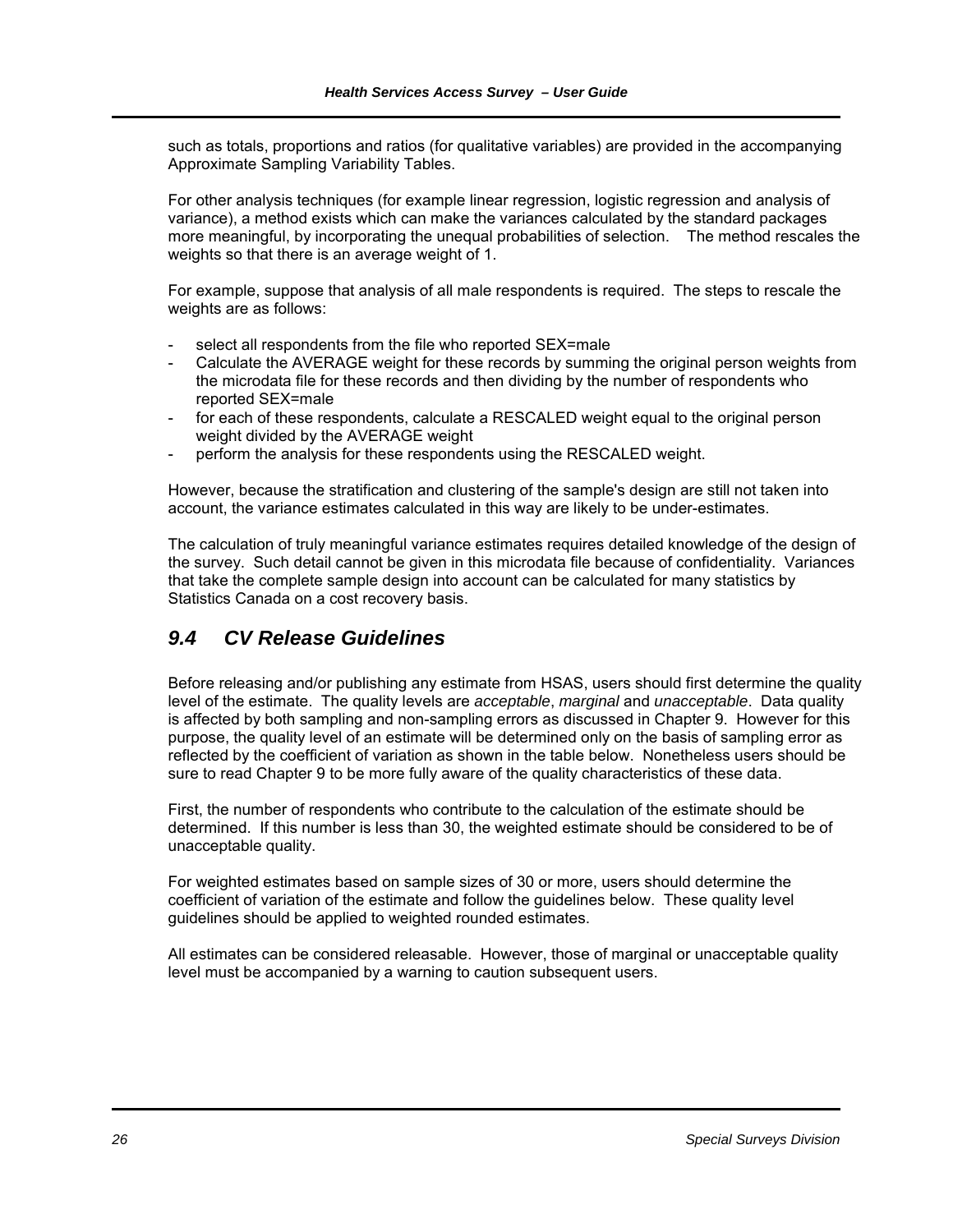such as totals, proportions and ratios (for qualitative variables) are provided in the accompanying Approximate Sampling Variability Tables.

For other analysis techniques (for example linear regression, logistic regression and analysis of variance), a method exists which can make the variances calculated by the standard packages more meaningful, by incorporating the unequal probabilities of selection. The method rescales the weights so that there is an average weight of 1.

For example, suppose that analysis of all male respondents is required. The steps to rescale the weights are as follows:

- select all respondents from the file who reported SEX=male
- Calculate the AVERAGE weight for these records by summing the original person weights from the microdata file for these records and then dividing by the number of respondents who reported SEX=male
- for each of these respondents, calculate a RESCALED weight equal to the original person weight divided by the AVERAGE weight
- perform the analysis for these respondents using the RESCALED weight.

However, because the stratification and clustering of the sample's design are still not taken into account, the variance estimates calculated in this way are likely to be under-estimates.

The calculation of truly meaningful variance estimates requires detailed knowledge of the design of the survey. Such detail cannot be given in this microdata file because of confidentiality. Variances that take the complete sample design into account can be calculated for many statistics by Statistics Canada on a cost recovery basis.

### *9.4 CV Release Guidelines*

Before releasing and/or publishing any estimate from HSAS, users should first determine the quality level of the estimate. The quality levels are *acceptable*, *marginal* and *unacceptable*. Data quality is affected by both sampling and non-sampling errors as discussed in Chapter 9. However for this purpose, the quality level of an estimate will be determined only on the basis of sampling error as reflected by the coefficient of variation as shown in the table below. Nonetheless users should be sure to read Chapter 9 to be more fully aware of the quality characteristics of these data.

First, the number of respondents who contribute to the calculation of the estimate should be determined. If this number is less than 30, the weighted estimate should be considered to be of unacceptable quality.

For weighted estimates based on sample sizes of 30 or more, users should determine the coefficient of variation of the estimate and follow the guidelines below. These quality level guidelines should be applied to weighted rounded estimates.

All estimates can be considered releasable. However, those of marginal or unacceptable quality level must be accompanied by a warning to caution subsequent users.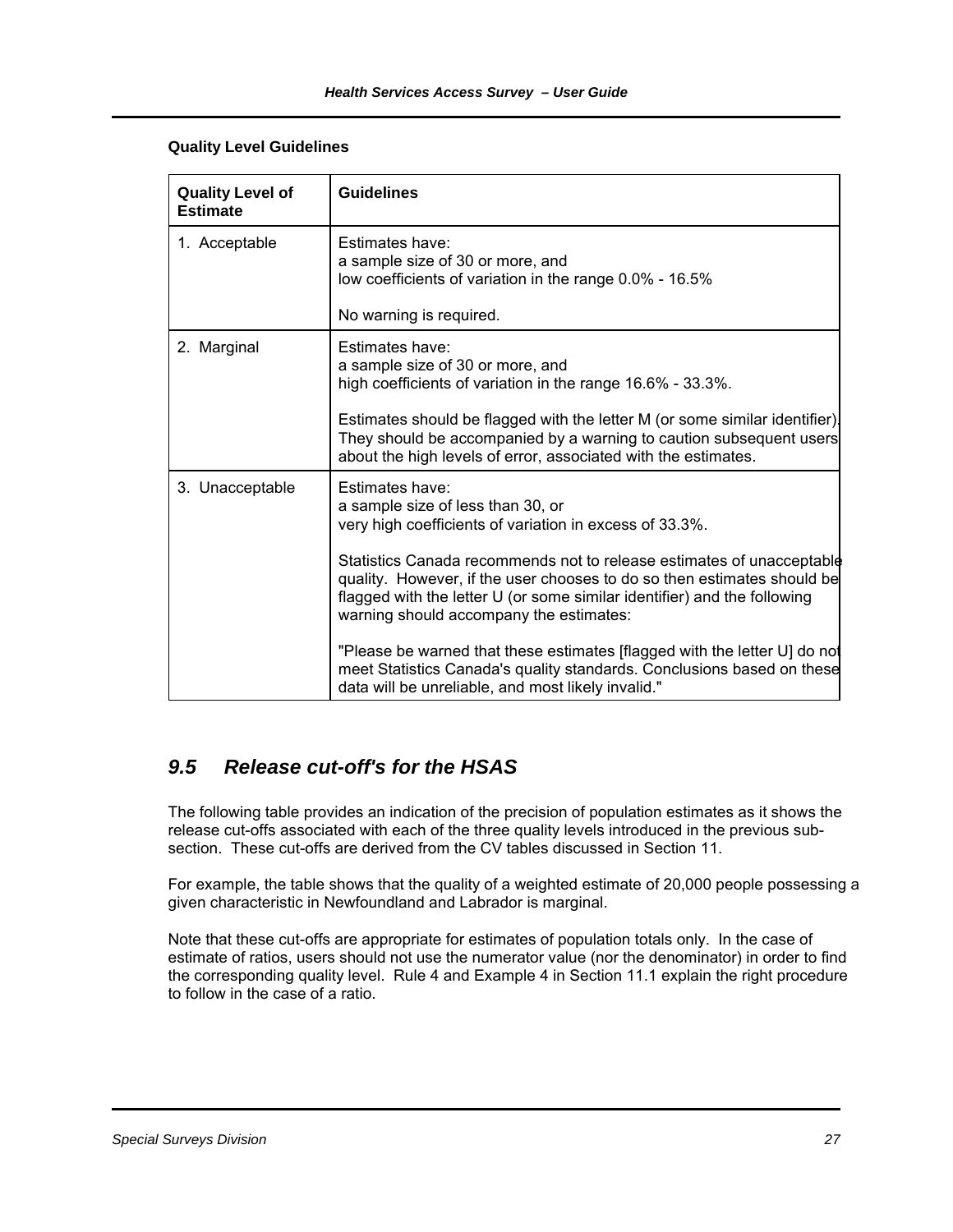#### **Quality Level Guidelines**

| <b>Quality Level of</b><br><b>Estimate</b> | <b>Guidelines</b>                                                                                                                                                                                                                                                                                                                                                                                                                                                                                                                                                                                       |
|--------------------------------------------|---------------------------------------------------------------------------------------------------------------------------------------------------------------------------------------------------------------------------------------------------------------------------------------------------------------------------------------------------------------------------------------------------------------------------------------------------------------------------------------------------------------------------------------------------------------------------------------------------------|
| 1. Acceptable                              | Estimates have:<br>a sample size of 30 or more, and<br>low coefficients of variation in the range 0.0% - 16.5%                                                                                                                                                                                                                                                                                                                                                                                                                                                                                          |
|                                            | No warning is required.                                                                                                                                                                                                                                                                                                                                                                                                                                                                                                                                                                                 |
| 2. Marginal                                | Estimates have:<br>a sample size of 30 or more, and<br>high coefficients of variation in the range 16.6% - 33.3%.<br>Estimates should be flagged with the letter M (or some similar identifier).<br>They should be accompanied by a warning to caution subsequent users<br>about the high levels of error, associated with the estimates.                                                                                                                                                                                                                                                               |
| 3. Unacceptable                            | Estimates have:<br>a sample size of less than 30, or<br>very high coefficients of variation in excess of 33.3%.<br>Statistics Canada recommends not to release estimates of unacceptable<br>quality. However, if the user chooses to do so then estimates should be<br>flagged with the letter U (or some similar identifier) and the following<br>warning should accompany the estimates:<br>"Please be warned that these estimates [flagged with the letter U] do not<br>meet Statistics Canada's quality standards. Conclusions based on these<br>data will be unreliable, and most likely invalid." |

### *9.5 Release cut-off's for the HSAS*

The following table provides an indication of the precision of population estimates as it shows the release cut-offs associated with each of the three quality levels introduced in the previous subsection. These cut-offs are derived from the CV tables discussed in Section 11.

For example, the table shows that the quality of a weighted estimate of 20,000 people possessing a given characteristic in Newfoundland and Labrador is marginal.

Note that these cut-offs are appropriate for estimates of population totals only. In the case of estimate of ratios, users should not use the numerator value (nor the denominator) in order to find the corresponding quality level. Rule 4 and Example 4 in Section 11.1 explain the right procedure to follow in the case of a ratio.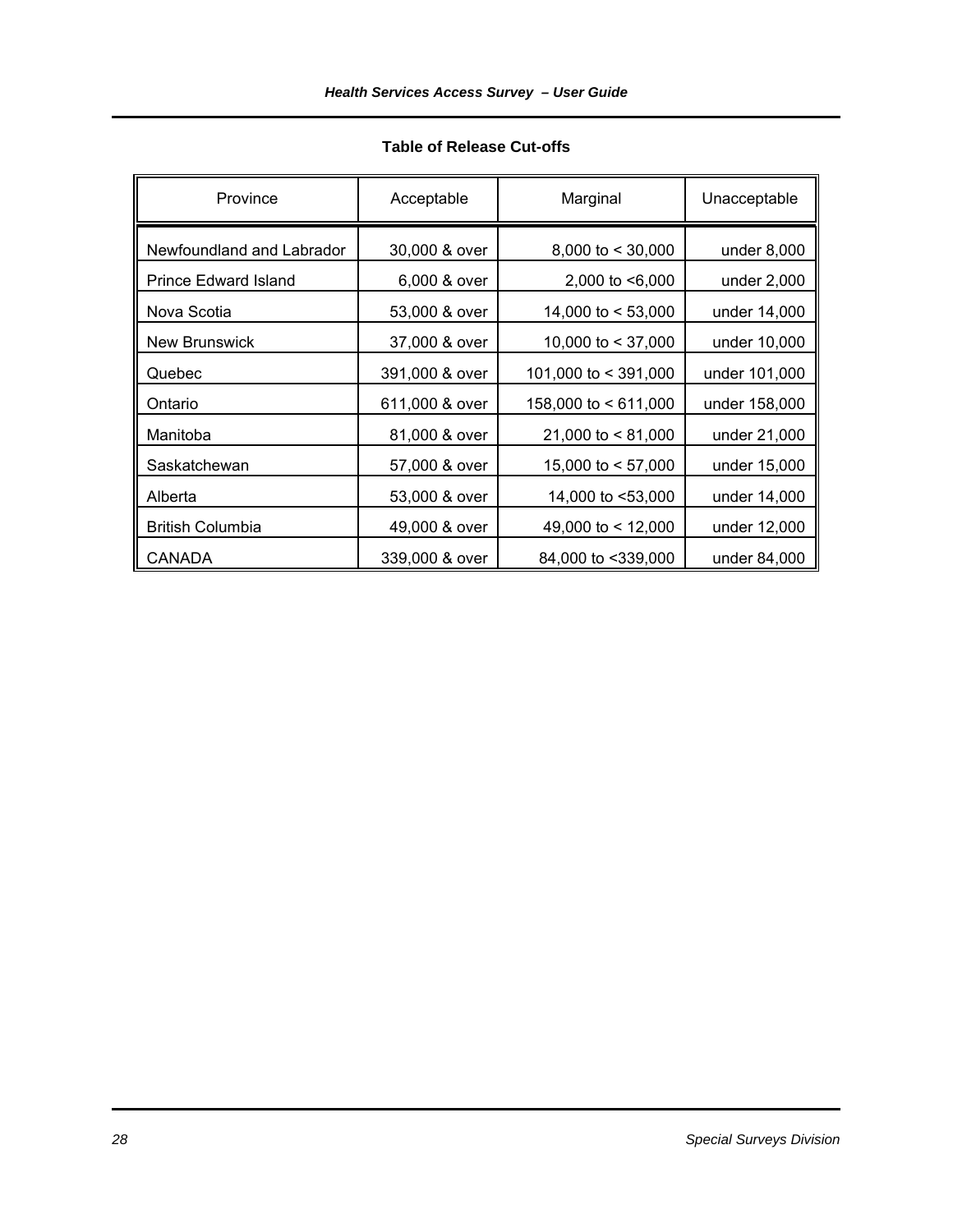| Province                    | Acceptable     | Marginal             | Unacceptable  |
|-----------------------------|----------------|----------------------|---------------|
| Newfoundland and Labrador   | 30,000 & over  | 8,000 to $<$ 30,000  | under 8,000   |
| <b>Prince Edward Island</b> | 6,000 & over   | 2,000 to <6,000      | under 2,000   |
| Nova Scotia                 | 53,000 & over  | 14,000 to $<$ 53,000 | under 14,000  |
| <b>New Brunswick</b>        | 37,000 & over  | 10,000 to < 37,000   | under 10,000  |
| Quebec                      | 391,000 & over | 101,000 to < 391,000 | under 101,000 |
| Ontario                     | 611,000 & over | 158,000 to < 611,000 | under 158,000 |
| Manitoba                    | 81,000 & over  | 21,000 to $< 81,000$ | under 21,000  |
| Saskatchewan                | 57,000 & over  | 15,000 to $<$ 57,000 | under 15,000  |
| Alberta                     | 53,000 & over  | 14,000 to <53,000    | under 14,000  |
| <b>British Columbia</b>     | 49,000 & over  | 49,000 to < 12,000   | under 12,000  |
| <b>CANADA</b>               | 339,000 & over | 84,000 to <339,000   | under 84,000  |

### **Table of Release Cut-offs**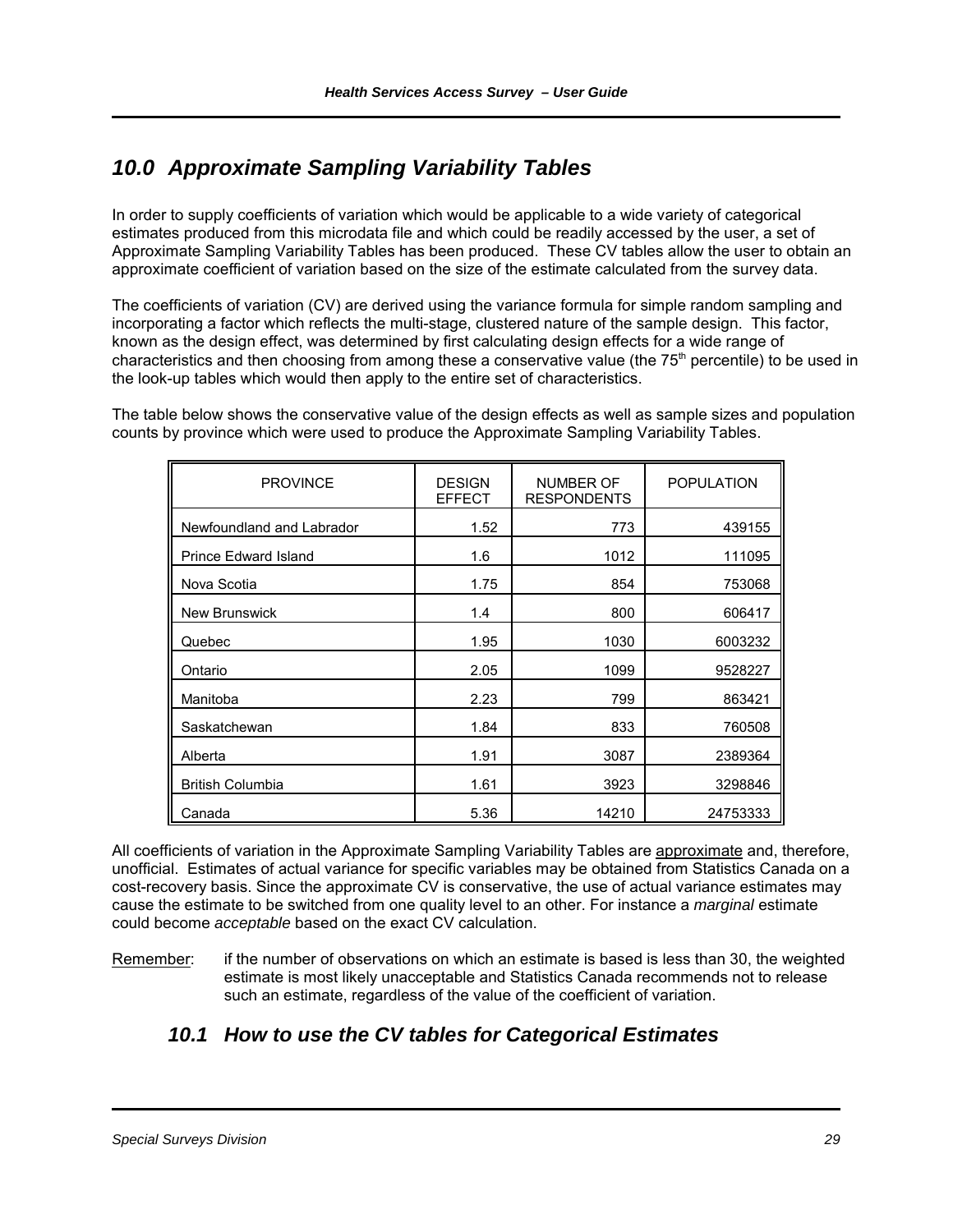# *10.0 Approximate Sampling Variability Tables*

In order to supply coefficients of variation which would be applicable to a wide variety of categorical estimates produced from this microdata file and which could be readily accessed by the user, a set of Approximate Sampling Variability Tables has been produced. These CV tables allow the user to obtain an approximate coefficient of variation based on the size of the estimate calculated from the survey data.

The coefficients of variation (CV) are derived using the variance formula for simple random sampling and incorporating a factor which reflects the multi-stage, clustered nature of the sample design. This factor, known as the design effect, was determined by first calculating design effects for a wide range of characteristics and then choosing from among these a conservative value (the 75<sup>th</sup> percentile) to be used in the look-up tables which would then apply to the entire set of characteristics.

The table below shows the conservative value of the design effects as well as sample sizes and population counts by province which were used to produce the Approximate Sampling Variability Tables.

| <b>PROVINCE</b>             | <b>DESIGN</b><br><b>EFFECT</b> | <b>NUMBER OF</b><br><b>RESPONDENTS</b> | <b>POPULATION</b> |
|-----------------------------|--------------------------------|----------------------------------------|-------------------|
| Newfoundland and Labrador   | 1.52                           | 773                                    | 439155            |
| <b>Prince Edward Island</b> | 1.6                            | 1012                                   | 111095            |
| Nova Scotia                 | 1.75                           | 854                                    | 753068            |
| <b>New Brunswick</b>        | 1.4                            | 800                                    | 606417            |
| Quebec                      | 1.95                           | 1030                                   | 6003232           |
| Ontario                     | 2.05                           | 1099                                   | 9528227           |
| Manitoba                    | 2.23                           | 799                                    | 863421            |
| Saskatchewan                | 1.84                           | 833                                    | 760508            |
| Alberta                     | 1.91                           | 3087                                   | 2389364           |
| <b>British Columbia</b>     | 1.61                           | 3923                                   | 3298846           |
| Canada                      | 5.36                           | 14210                                  | 24753333          |

All coefficients of variation in the Approximate Sampling Variability Tables are approximate and, therefore, unofficial. Estimates of actual variance for specific variables may be obtained from Statistics Canada on a cost-recovery basis. Since the approximate CV is conservative, the use of actual variance estimates may cause the estimate to be switched from one quality level to an other. For instance a *marginal* estimate could become *acceptable* based on the exact CV calculation.

Remember: if the number of observations on which an estimate is based is less than 30, the weighted estimate is most likely unacceptable and Statistics Canada recommends not to release such an estimate, regardless of the value of the coefficient of variation.

### *10.1 How to use the CV tables for Categorical Estimates*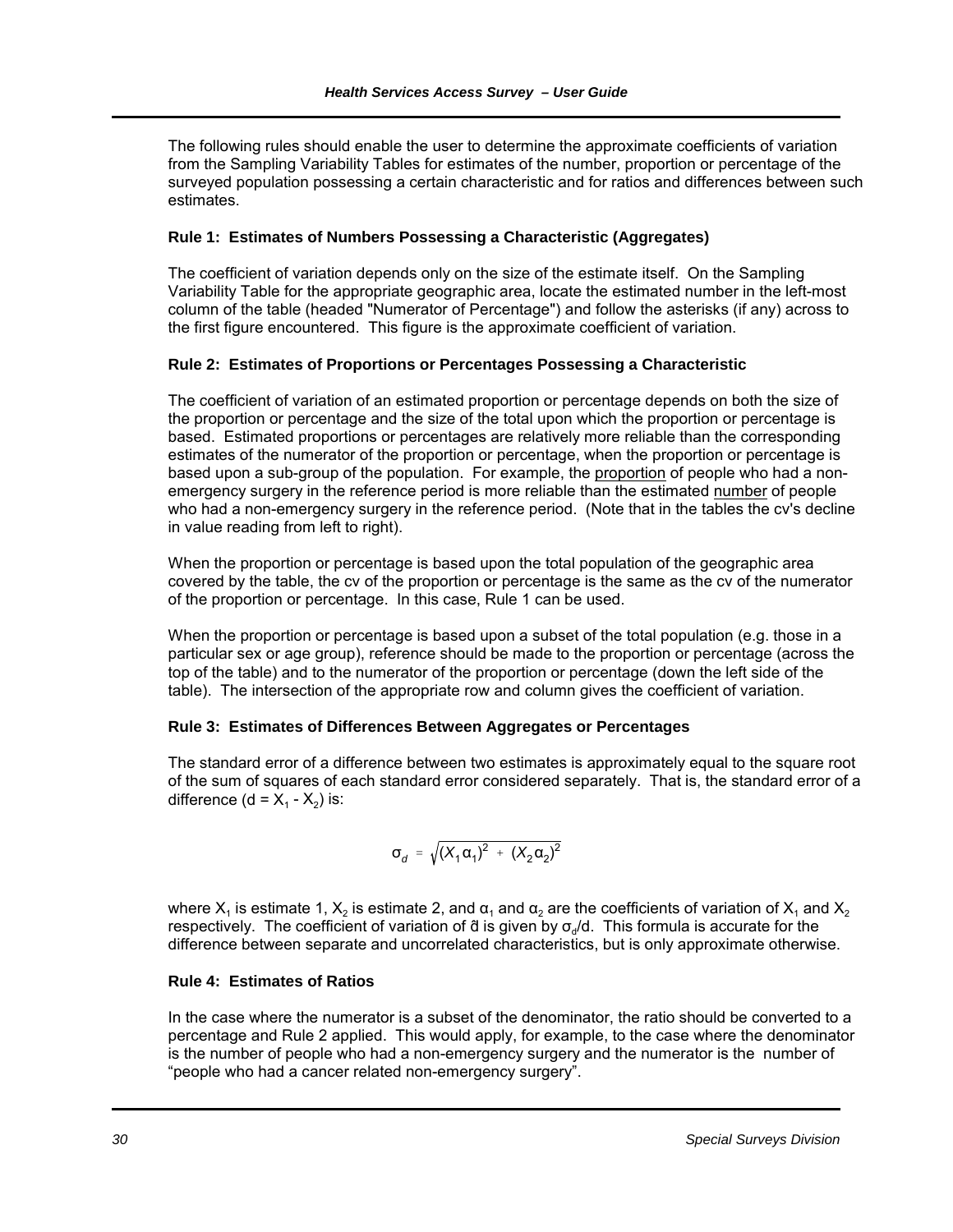The following rules should enable the user to determine the approximate coefficients of variation from the Sampling Variability Tables for estimates of the number, proportion or percentage of the surveyed population possessing a certain characteristic and for ratios and differences between such estimates.

#### **Rule 1: Estimates of Numbers Possessing a Characteristic (Aggregates)**

The coefficient of variation depends only on the size of the estimate itself. On the Sampling Variability Table for the appropriate geographic area, locate the estimated number in the left-most column of the table (headed "Numerator of Percentage") and follow the asterisks (if any) across to the first figure encountered. This figure is the approximate coefficient of variation.

### **Rule 2: Estimates of Proportions or Percentages Possessing a Characteristic**

The coefficient of variation of an estimated proportion or percentage depends on both the size of the proportion or percentage and the size of the total upon which the proportion or percentage is based. Estimated proportions or percentages are relatively more reliable than the corresponding estimates of the numerator of the proportion or percentage, when the proportion or percentage is based upon a sub-group of the population. For example, the proportion of people who had a nonemergency surgery in the reference period is more reliable than the estimated number of people who had a non-emergency surgery in the reference period. (Note that in the tables the cv's decline in value reading from left to right).

When the proportion or percentage is based upon the total population of the geographic area covered by the table, the cv of the proportion or percentage is the same as the cv of the numerator of the proportion or percentage. In this case, Rule 1 can be used.

When the proportion or percentage is based upon a subset of the total population (e.g. those in a particular sex or age group), reference should be made to the proportion or percentage (across the top of the table) and to the numerator of the proportion or percentage (down the left side of the table). The intersection of the appropriate row and column gives the coefficient of variation.

### **Rule 3: Estimates of Differences Between Aggregates or Percentages**

The standard error of a difference between two estimates is approximately equal to the square root of the sum of squares of each standard error considered separately. That is, the standard error of a difference (d =  $X_1 - X_2$ ) is:

$$
\sigma_{d} = \sqrt{(X_1 \alpha_1)^2 + (X_2 \alpha_2)^2}
$$

where  $X_1$  is estimate 1,  $X_2$  is estimate 2, and  $\alpha_1$  and  $\alpha_2$  are the coefficients of variation of  $X_1$  and  $X_2$ respectively. The coefficient of variation of  $\ddot{a}$  is given by  $\sigma_d/d$ . This formula is accurate for the difference between separate and uncorrelated characteristics, but is only approximate otherwise.

#### **Rule 4: Estimates of Ratios**

In the case where the numerator is a subset of the denominator, the ratio should be converted to a percentage and Rule 2 applied. This would apply, for example, to the case where the denominator is the number of people who had a non-emergency surgery and the numerator is the number of "people who had a cancer related non-emergency surgery".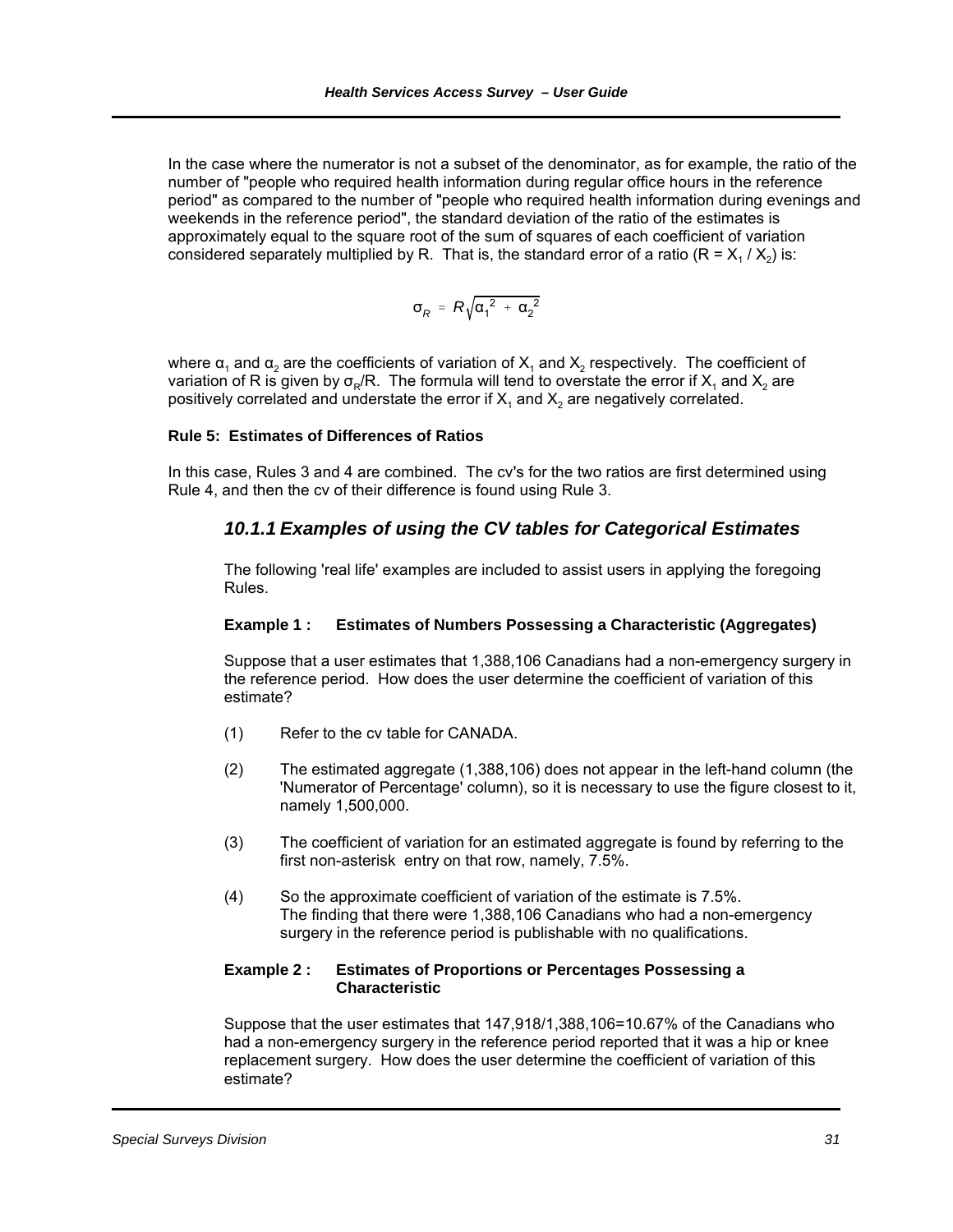In the case where the numerator is not a subset of the denominator, as for example, the ratio of the number of "people who required health information during regular office hours in the reference period" as compared to the number of "people who required health information during evenings and weekends in the reference period", the standard deviation of the ratio of the estimates is approximately equal to the square root of the sum of squares of each coefficient of variation considered separately multiplied by R. That is, the standard error of a ratio ( $R = X<sub>1</sub> / X<sub>2</sub>$ ) is:

$$
\sigma_{\cal R}~=~{\cal R}\sqrt{{\alpha_1}^2~+{\ \alpha_2}^2}
$$

where  $\alpha_1$  and  $\alpha_2$  are the coefficients of variation of  $X_1$  and  $X_2$  respectively. The coefficient of variation of R is given by  $\sigma_{\rm P}/R$ . The formula will tend to overstate the error if  $X_1$  and  $X_2$  are positively correlated and understate the error if  $X_1$  and  $X_2$  are negatively correlated.

#### **Rule 5: Estimates of Differences of Ratios**

In this case, Rules 3 and 4 are combined. The cv's for the two ratios are first determined using Rule 4, and then the cv of their difference is found using Rule 3.

### *10.1.1 Examples of using the CV tables for Categorical Estimates*

The following 'real life' examples are included to assist users in applying the foregoing Rules.

#### **Example 1 : Estimates of Numbers Possessing a Characteristic (Aggregates)**

Suppose that a user estimates that 1,388,106 Canadians had a non-emergency surgery in the reference period. How does the user determine the coefficient of variation of this estimate?

- (1) Refer to the cv table for CANADA.
- (2) The estimated aggregate (1,388,106) does not appear in the left-hand column (the 'Numerator of Percentage' column), so it is necessary to use the figure closest to it, namely 1,500,000.
- (3) The coefficient of variation for an estimated aggregate is found by referring to the first non-asterisk entry on that row, namely, 7.5%.
- (4) So the approximate coefficient of variation of the estimate is 7.5%. The finding that there were 1,388,106 Canadians who had a non-emergency surgery in the reference period is publishable with no qualifications.

#### **Example 2 : Estimates of Proportions or Percentages Possessing a Characteristic**

Suppose that the user estimates that 147,918/1,388,106=10.67% of the Canadians who had a non-emergency surgery in the reference period reported that it was a hip or knee replacement surgery. How does the user determine the coefficient of variation of this estimate?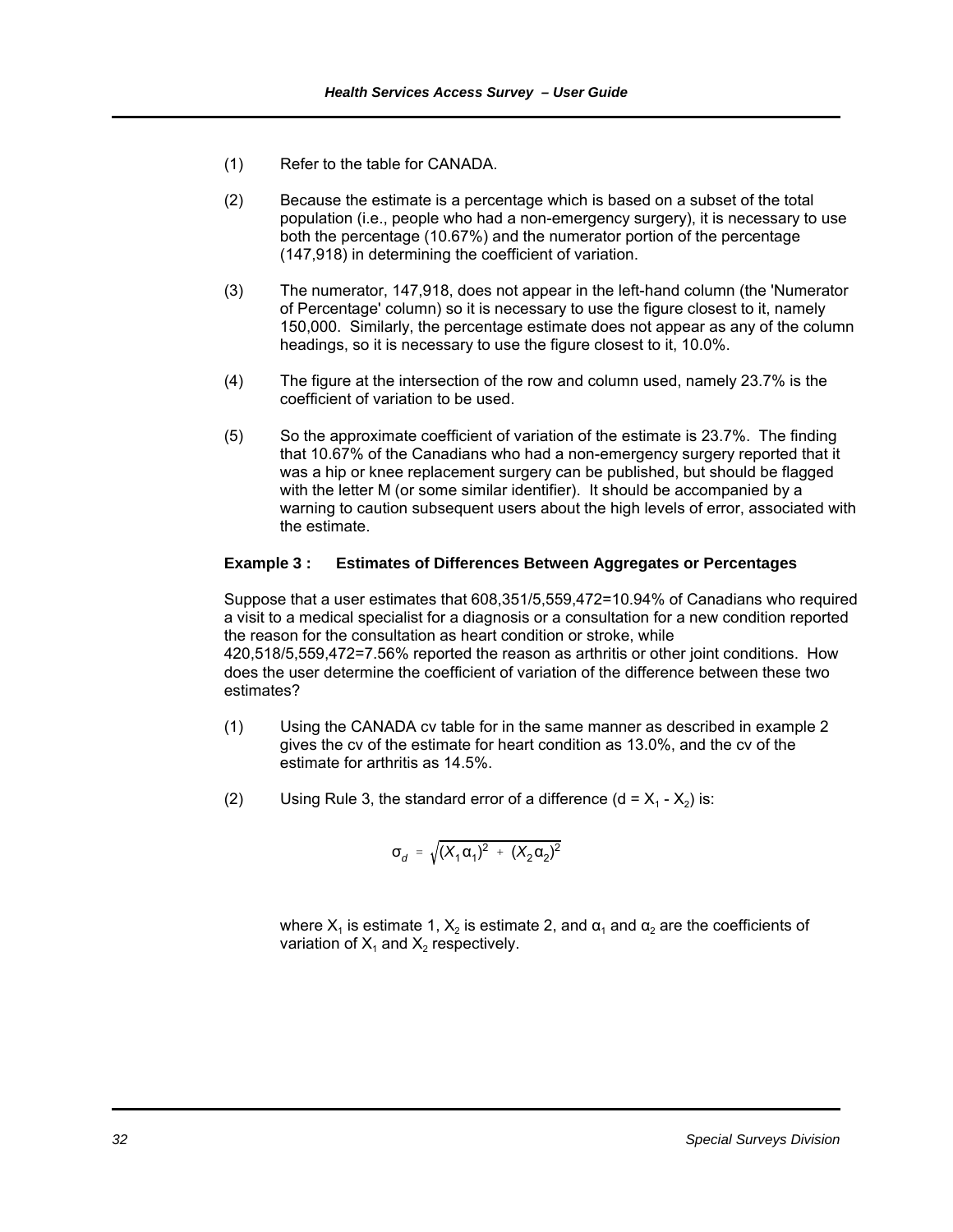- (1) Refer to the table for CANADA.
- (2) Because the estimate is a percentage which is based on a subset of the total population (i.e., people who had a non-emergency surgery), it is necessary to use both the percentage (10.67%) and the numerator portion of the percentage (147,918) in determining the coefficient of variation.
- (3) The numerator, 147,918, does not appear in the left-hand column (the 'Numerator of Percentage' column) so it is necessary to use the figure closest to it, namely 150,000. Similarly, the percentage estimate does not appear as any of the column headings, so it is necessary to use the figure closest to it, 10.0%.
- (4) The figure at the intersection of the row and column used, namely 23.7% is the coefficient of variation to be used.
- (5) So the approximate coefficient of variation of the estimate is 23.7%. The finding that 10.67% of the Canadians who had a non-emergency surgery reported that it was a hip or knee replacement surgery can be published, but should be flagged with the letter M (or some similar identifier). It should be accompanied by a warning to caution subsequent users about the high levels of error, associated with the estimate.

#### **Example 3 : Estimates of Differences Between Aggregates or Percentages**

Suppose that a user estimates that 608,351/5,559,472=10.94% of Canadians who required a visit to a medical specialist for a diagnosis or a consultation for a new condition reported the reason for the consultation as heart condition or stroke, while 420,518/5,559,472=7.56% reported the reason as arthritis or other joint conditions. How does the user determine the coefficient of variation of the difference between these two estimates?

- (1) Using the CANADA cv table for in the same manner as described in example 2 gives the cv of the estimate for heart condition as 13.0%, and the cv of the estimate for arthritis as 14.5%.
- (2) Using Rule 3, the standard error of a difference  $(d = X_1 X_2)$  is:

$$
\sigma_d = \sqrt{(X_1 \alpha_1)^2 + (X_2 \alpha_2)^2}
$$

where  $X_1$  is estimate 1,  $X_2$  is estimate 2, and  $\alpha_1$  and  $\alpha_2$  are the coefficients of variation of  $X_1$  and  $X_2$  respectively.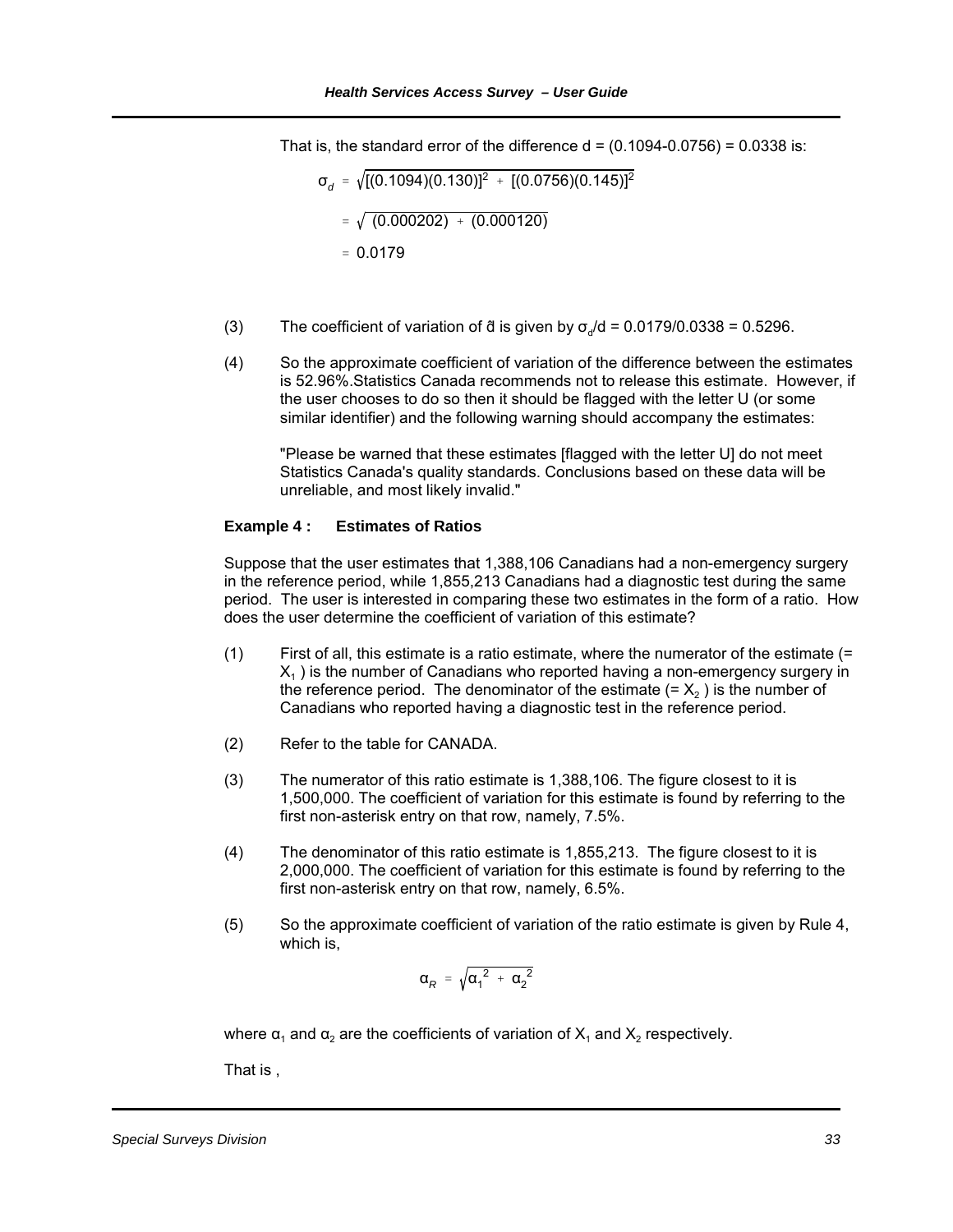That is, the standard error of the difference  $d = (0.1094 - 0.0756) = 0.0338$  is:

$$
\sigma_d = \sqrt{[(0.1094)(0.130)]^2 + [(0.0756)(0.145)]^2}
$$
  
=  $\sqrt{(0.000202) + (0.000120)}$   
= 0.0179

- (3) The coefficient of variation of  $\ddot{\text{d}}$  is given by  $\sigma_d/d = 0.0179/0.0338 = 0.5296$ .
- (4) So the approximate coefficient of variation of the difference between the estimates is 52.96%.Statistics Canada recommends not to release this estimate. However, if the user chooses to do so then it should be flagged with the letter U (or some similar identifier) and the following warning should accompany the estimates:

"Please be warned that these estimates [flagged with the letter U] do not meet Statistics Canada's quality standards. Conclusions based on these data will be unreliable, and most likely invalid."

#### **Example 4 : Estimates of Ratios**

Suppose that the user estimates that 1,388,106 Canadians had a non-emergency surgery in the reference period, while 1,855,213 Canadians had a diagnostic test during the same period. The user is interested in comparing these two estimates in the form of a ratio. How does the user determine the coefficient of variation of this estimate?

- (1) First of all, this estimate is a ratio estimate, where the numerator of the estimate (=  $X_1$ ) is the number of Canadians who reported having a non-emergency surgery in the reference period. The denominator of the estimate  $(= X<sub>2</sub>)$  is the number of Canadians who reported having a diagnostic test in the reference period.
- (2) Refer to the table for CANADA.
- (3) The numerator of this ratio estimate is 1,388,106. The figure closest to it is 1,500,000. The coefficient of variation for this estimate is found by referring to the first non-asterisk entry on that row, namely, 7.5%.
- (4) The denominator of this ratio estimate is 1,855,213. The figure closest to it is 2,000,000. The coefficient of variation for this estimate is found by referring to the first non-asterisk entry on that row, namely, 6.5%.
- (5) So the approximate coefficient of variation of the ratio estimate is given by Rule 4, which is,

$$
\alpha_R = \sqrt{{\alpha_1}^2 + {\alpha_2}^2}
$$

where  $\alpha_1$  and  $\alpha_2$  are the coefficients of variation of  $X_1$  and  $X_2$  respectively.

That is ,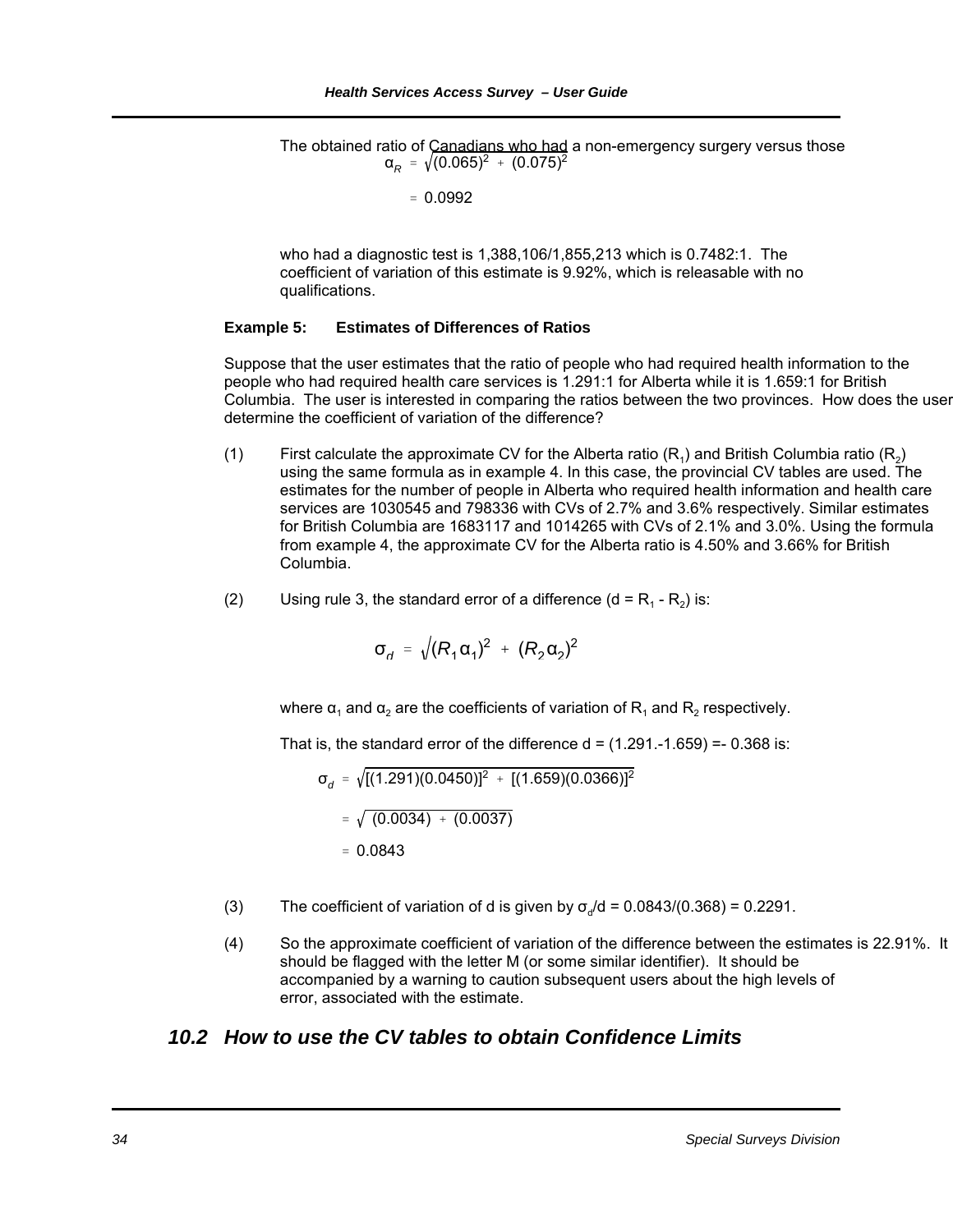$\alpha_R^{}$  =  $\sqrt{(0.065)^2}$  +  $(0.075)^2$ The obtained ratio of Canadians who had a non-emergency surgery versus those

$$
= 0.0992
$$

who had a diagnostic test is 1,388,106/1,855,213 which is 0.7482:1. The coefficient of variation of this estimate is 9.92%, which is releasable with no qualifications.

#### **Example 5: Estimates of Differences of Ratios**

Suppose that the user estimates that the ratio of people who had required health information to the people who had required health care services is 1.291:1 for Alberta while it is 1.659:1 for British Columbia. The user is interested in comparing the ratios between the two provinces. How does the user determine the coefficient of variation of the difference?

- (1) First calculate the approximate CV for the Alberta ratio  $(R_1)$  and British Columbia ratio  $(R_2)$ using the same formula as in example 4. In this case, the provincial CV tables are used. The estimates for the number of people in Alberta who required health information and health care services are 1030545 and 798336 with CVs of 2.7% and 3.6% respectively. Similar estimates for British Columbia are 1683117 and 1014265 with CVs of 2.1% and 3.0%. Using the formula from example 4, the approximate CV for the Alberta ratio is 4.50% and 3.66% for British Columbia.
- (2) Using rule 3, the standard error of a difference  $(d = R_1 R_2)$  is:

$$
\sigma_{d} = \sqrt{(R_{1} \alpha_{1})^{2} + (R_{2} \alpha_{2})^{2}}
$$

where  $\alpha_1$  and  $\alpha_2$  are the coefficients of variation of R<sub>1</sub> and R<sub>2</sub> respectively.

That is, the standard error of the difference  $d = (1.291.-1.659) = -0.368$  is:

$$
\sigma_d = \sqrt{[(1.291)(0.0450)]^2 + [(1.659)(0.0366)]^2}
$$
  
=  $\sqrt{(0.0034) + (0.0037)}$   
= 0.0843

- (3) The coefficient of variation of d is given by  $\sigma_d/d = 0.0843/(0.368) = 0.2291$ .
- (4) So the approximate coefficient of variation of the difference between the estimates is 22.91%. It should be flagged with the letter M (or some similar identifier). It should be accompanied by a warning to caution subsequent users about the high levels of error, associated with the estimate.

### *10.2 How to use the CV tables to obtain Confidence Limits*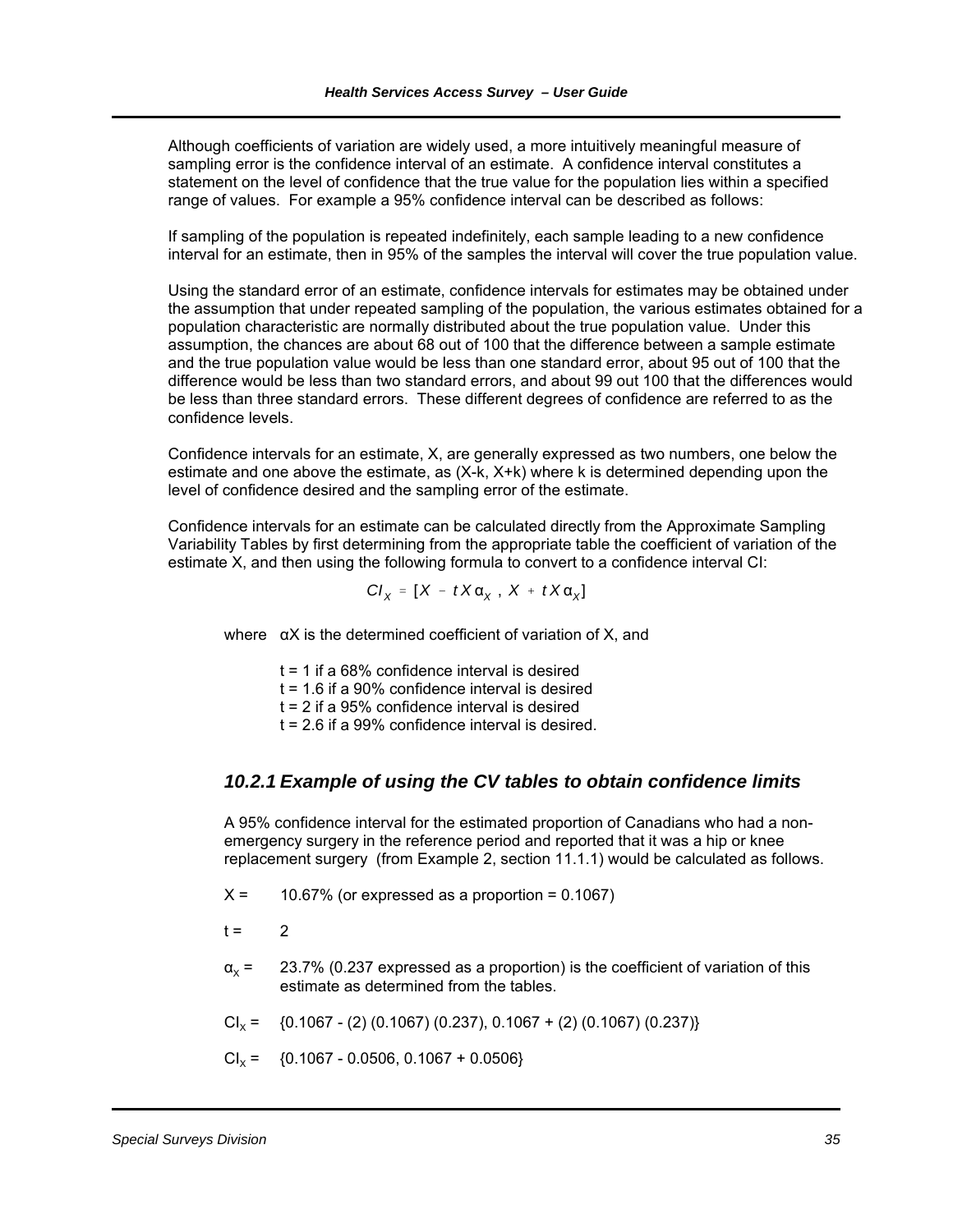Although coefficients of variation are widely used, a more intuitively meaningful measure of sampling error is the confidence interval of an estimate. A confidence interval constitutes a statement on the level of confidence that the true value for the population lies within a specified range of values. For example a 95% confidence interval can be described as follows:

If sampling of the population is repeated indefinitely, each sample leading to a new confidence interval for an estimate, then in 95% of the samples the interval will cover the true population value.

Using the standard error of an estimate, confidence intervals for estimates may be obtained under the assumption that under repeated sampling of the population, the various estimates obtained for a population characteristic are normally distributed about the true population value. Under this assumption, the chances are about 68 out of 100 that the difference between a sample estimate and the true population value would be less than one standard error, about 95 out of 100 that the difference would be less than two standard errors, and about 99 out 100 that the differences would be less than three standard errors. These different degrees of confidence are referred to as the confidence levels.

Confidence intervals for an estimate, X, are generally expressed as two numbers, one below the estimate and one above the estimate, as (X-k, X+k) where k is determined depending upon the level of confidence desired and the sampling error of the estimate.

Confidence intervals for an estimate can be calculated directly from the Approximate Sampling Variability Tables by first determining from the appropriate table the coefficient of variation of the estimate X, and then using the following formula to convert to a confidence interval CI:

$$
CI_{X} = [X - tX\alpha_{X}, X + tX\alpha_{X}]
$$

where  $\alpha$ X is the determined coefficient of variation of X, and

 $t = 1$  if a 68% confidence interval is desired

 $t = 1.6$  if a 90% confidence interval is desired

 $t = 2$  if a 95% confidence interval is desired

 $t = 2.6$  if a 99% confidence interval is desired.

### *10.2.1 Example of using the CV tables to obtain confidence limits*

A 95% confidence interval for the estimated proportion of Canadians who had a nonemergency surgery in the reference period and reported that it was a hip or knee replacement surgery (from Example 2, section 11.1.1) would be calculated as follows.

- $X = 10.67\%$  (or expressed as a proportion = 0.1067)
- $t = 2$
- $\alpha_x = 23.7\%$  (0.237 expressed as a proportion) is the coefficient of variation of this estimate as determined from the tables.
- $Cl_x = \{0.1067 (2) (0.1067) (0.237), 0.1067 + (2) (0.1067) (0.237)\}\$
- $Cl_x = \{0.1067 0.0506, 0.1067 + 0.0506\}$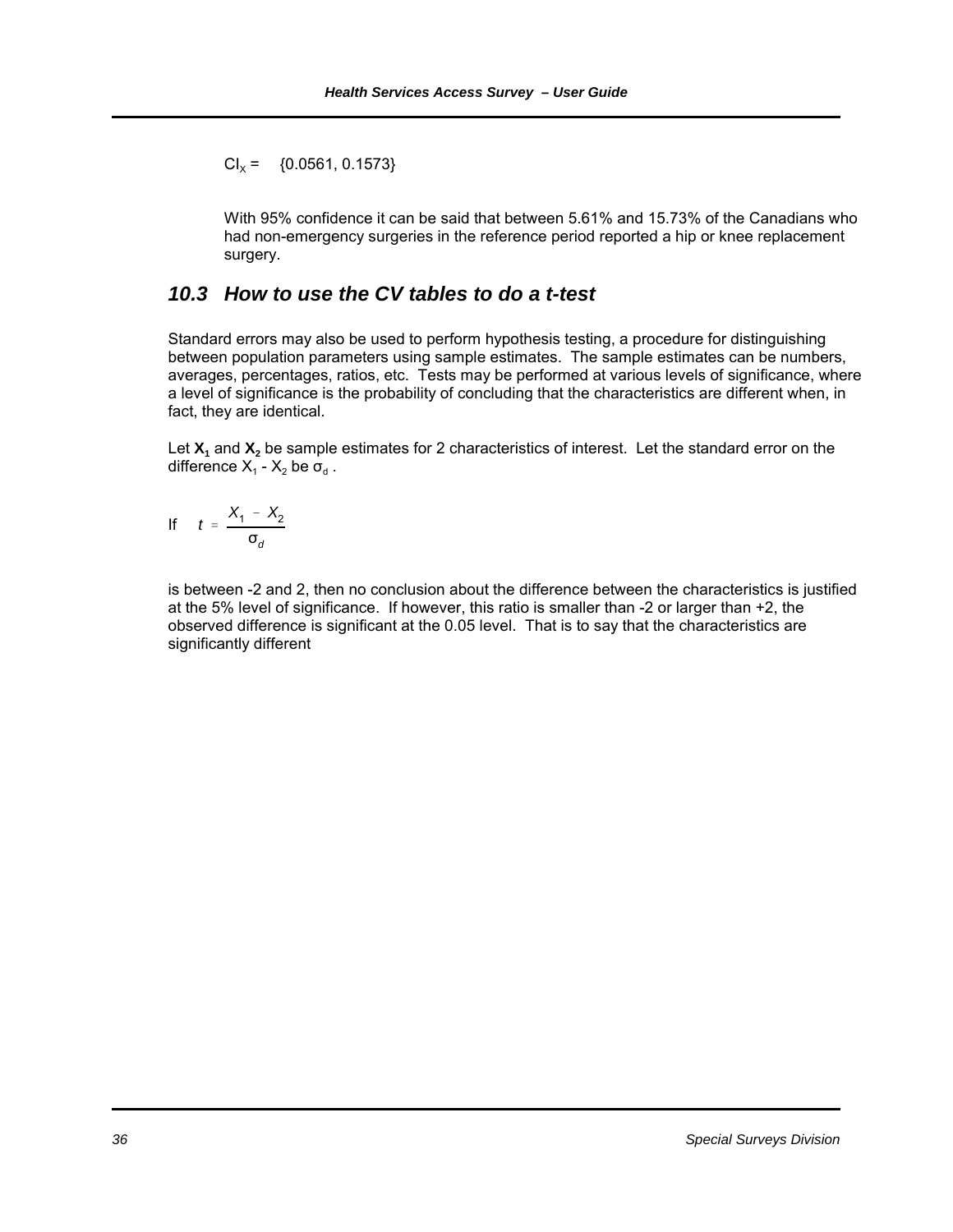$Cl_v = \{0.0561, 0.1573\}$ 

With 95% confidence it can be said that between 5.61% and 15.73% of the Canadians who had non-emergency surgeries in the reference period reported a hip or knee replacement surgery.

### *10.3 How to use the CV tables to do a t-test*

Standard errors may also be used to perform hypothesis testing, a procedure for distinguishing between population parameters using sample estimates. The sample estimates can be numbers, averages, percentages, ratios, etc. Tests may be performed at various levels of significance, where a level of significance is the probability of concluding that the characteristics are different when, in fact, they are identical.

Let  $X_1$  and  $X_2$  be sample estimates for 2 characteristics of interest. Let the standard error on the difference  $X_1 - X_2$  be  $\sigma_d$ .

$$
If \t t = \frac{X_1 - X_2}{\sigma_d}
$$

 is between -2 and 2, then no conclusion about the difference between the characteristics is justified at the 5% level of significance. If however, this ratio is smaller than -2 or larger than +2, the observed difference is significant at the 0.05 level. That is to say that the characteristics are significantly different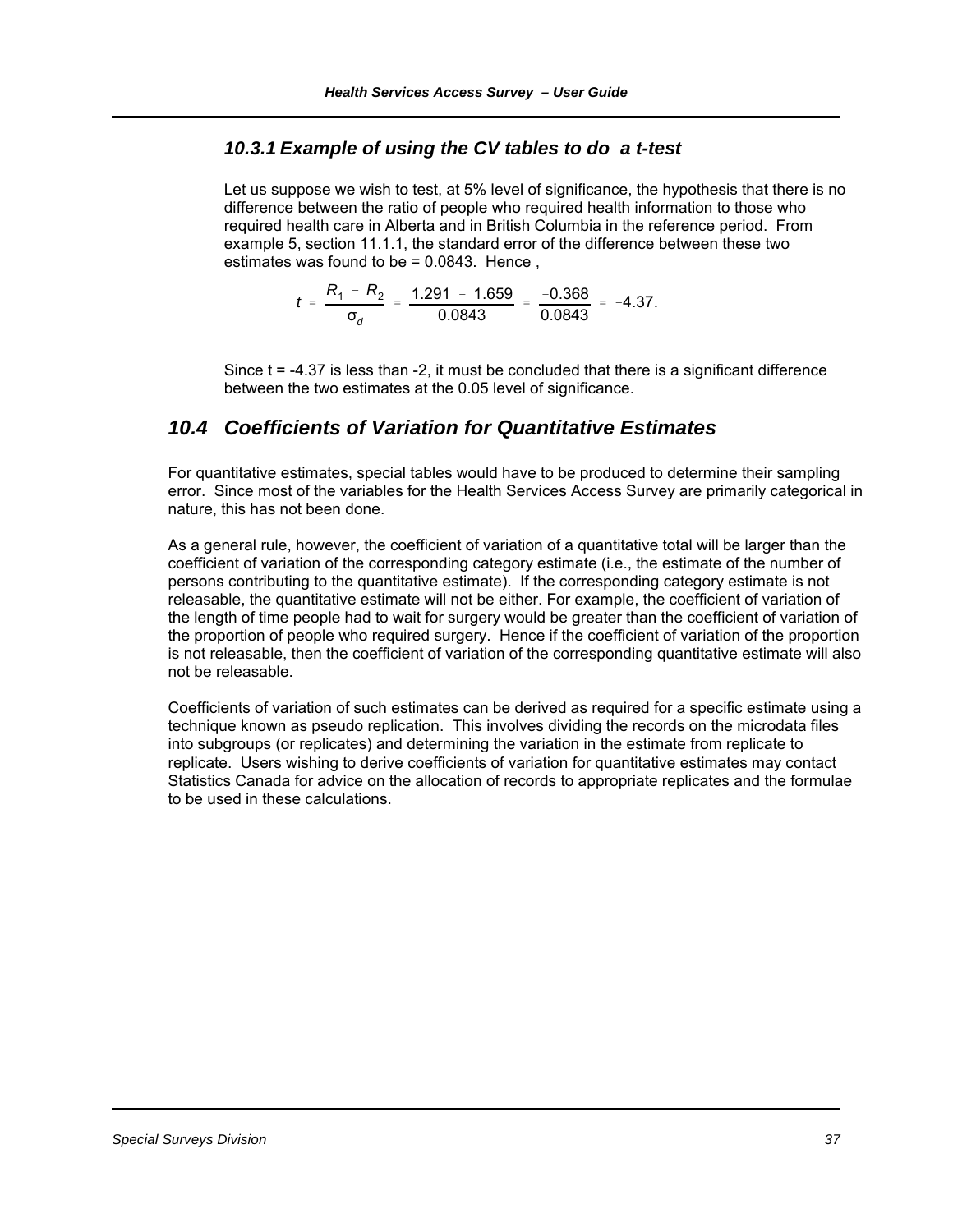### *10.3.1 Example of using the CV tables to do a t-test*

Let us suppose we wish to test, at 5% level of significance, the hypothesis that there is no difference between the ratio of people who required health information to those who required health care in Alberta and in British Columbia in the reference period. From example 5, section 11.1.1, the standard error of the difference between these two estimates was found to be = 0.0843. Hence ,

$$
t = \frac{R_1 - R_2}{\sigma_d} = \frac{1.291 - 1.659}{0.0843} = \frac{-0.368}{0.0843} = -4.37.
$$

Since t = -4.37 is less than -2, it must be concluded that there is a significant difference between the two estimates at the 0.05 level of significance.

### *10.4 Coefficients of Variation for Quantitative Estimates*

For quantitative estimates, special tables would have to be produced to determine their sampling error. Since most of the variables for the Health Services Access Survey are primarily categorical in nature, this has not been done.

As a general rule, however, the coefficient of variation of a quantitative total will be larger than the coefficient of variation of the corresponding category estimate (i.e., the estimate of the number of persons contributing to the quantitative estimate). If the corresponding category estimate is not releasable, the quantitative estimate will not be either. For example, the coefficient of variation of the length of time people had to wait for surgery would be greater than the coefficient of variation of the proportion of people who required surgery. Hence if the coefficient of variation of the proportion is not releasable, then the coefficient of variation of the corresponding quantitative estimate will also not be releasable.

Coefficients of variation of such estimates can be derived as required for a specific estimate using a technique known as pseudo replication. This involves dividing the records on the microdata files into subgroups (or replicates) and determining the variation in the estimate from replicate to replicate. Users wishing to derive coefficients of variation for quantitative estimates may contact Statistics Canada for advice on the allocation of records to appropriate replicates and the formulae to be used in these calculations.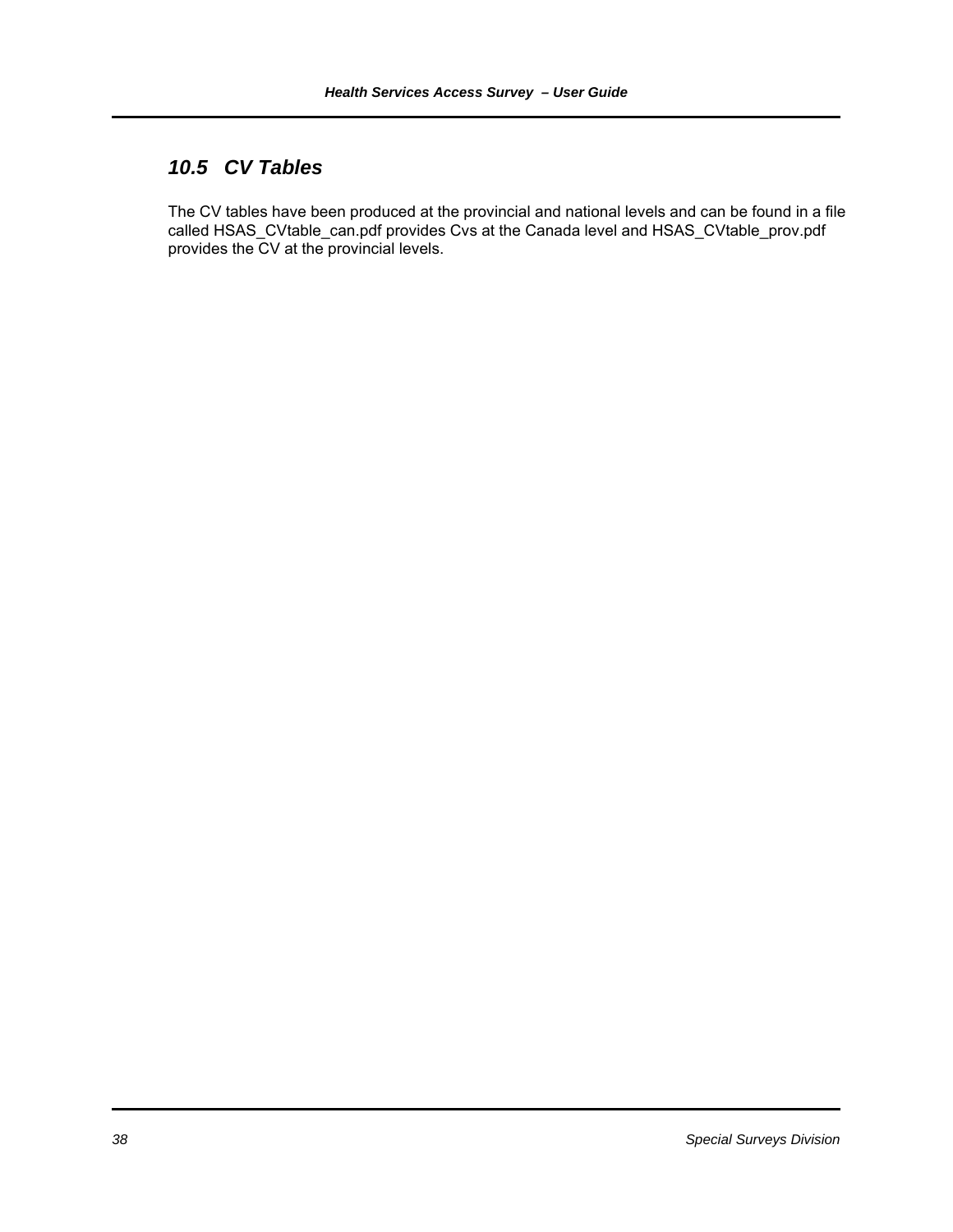### *10.5 CV Tables*

The CV tables have been produced at the provincial and national levels and can be found in a file called HSAS\_CVtable\_can.pdf provides Cvs at the Canada level and HSAS\_CVtable\_prov.pdf provides the CV at the provincial levels.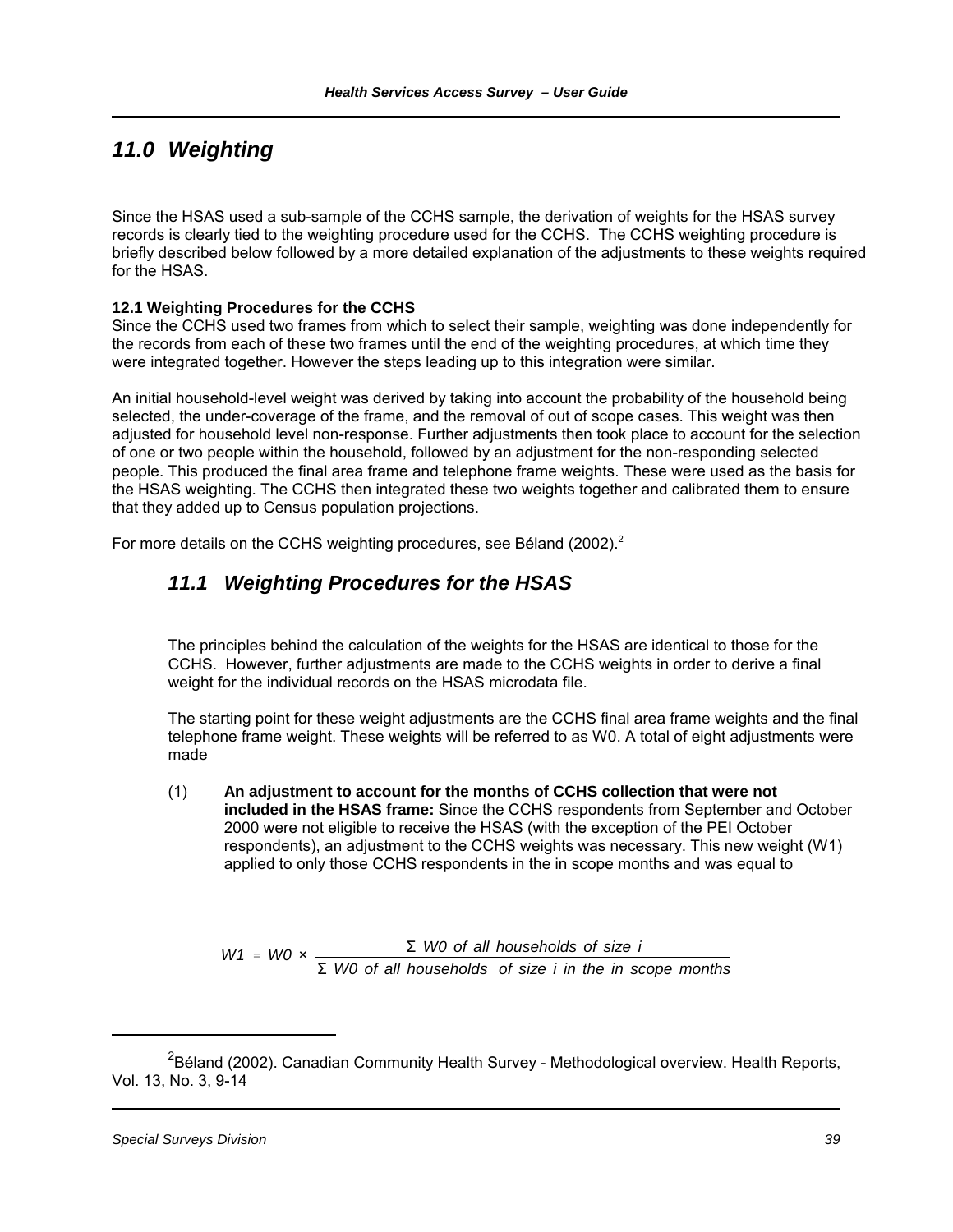# *11.0 Weighting*

Since the HSAS used a sub-sample of the CCHS sample, the derivation of weights for the HSAS survey records is clearly tied to the weighting procedure used for the CCHS. The CCHS weighting procedure is briefly described below followed by a more detailed explanation of the adjustments to these weights required for the HSAS.

### **12.1 Weighting Procedures for the CCHS**

Since the CCHS used two frames from which to select their sample, weighting was done independently for the records from each of these two frames until the end of the weighting procedures, at which time they were integrated together. However the steps leading up to this integration were similar.

An initial household-level weight was derived by taking into account the probability of the household being selected, the under-coverage of the frame, and the removal of out of scope cases. This weight was then adjusted for household level non-response. Further adjustments then took place to account for the selection of one or two people within the household, followed by an adjustment for the non-responding selected people. This produced the final area frame and telephone frame weights. These were used as the basis for the HSAS weighting. The CCHS then integrated these two weights together and calibrated them to ensure that they added up to Census population projections.

For more details on the CCHS weighting procedures, see Béland (2002).<sup>2</sup>

### *11.1 Weighting Procedures for the HSAS*

The principles behind the calculation of the weights for the HSAS are identical to those for the CCHS. However, further adjustments are made to the CCHS weights in order to derive a final weight for the individual records on the HSAS microdata file.

The starting point for these weight adjustments are the CCHS final area frame weights and the final telephone frame weight. These weights will be referred to as W0. A total of eight adjustments were made

(1) **An adjustment to account for the months of CCHS collection that were not included in the HSAS frame:** Since the CCHS respondents from September and October 2000 were not eligible to receive the HSAS (with the exception of the PEI October respondents), an adjustment to the CCHS weights was necessary. This new weight (W1) applied to only those CCHS respondents in the in scope months and was equal to

 $W1 = W0 \times \frac{\sum W0 \text{ of all households of size i}}{\sum W1 = W0 \times \frac{W0}{\sum W1} \times \frac{W0}{\sum W1} \times \frac{W0}{\sum W1}}$ Σ *W0 of all households of size i in the in scope months*

<sup>&</sup>lt;sup>2</sup>Béland (2002). Canadian Community Health Survey - Methodological overview. Health Reports, Vol. 13, No. 3, 9-14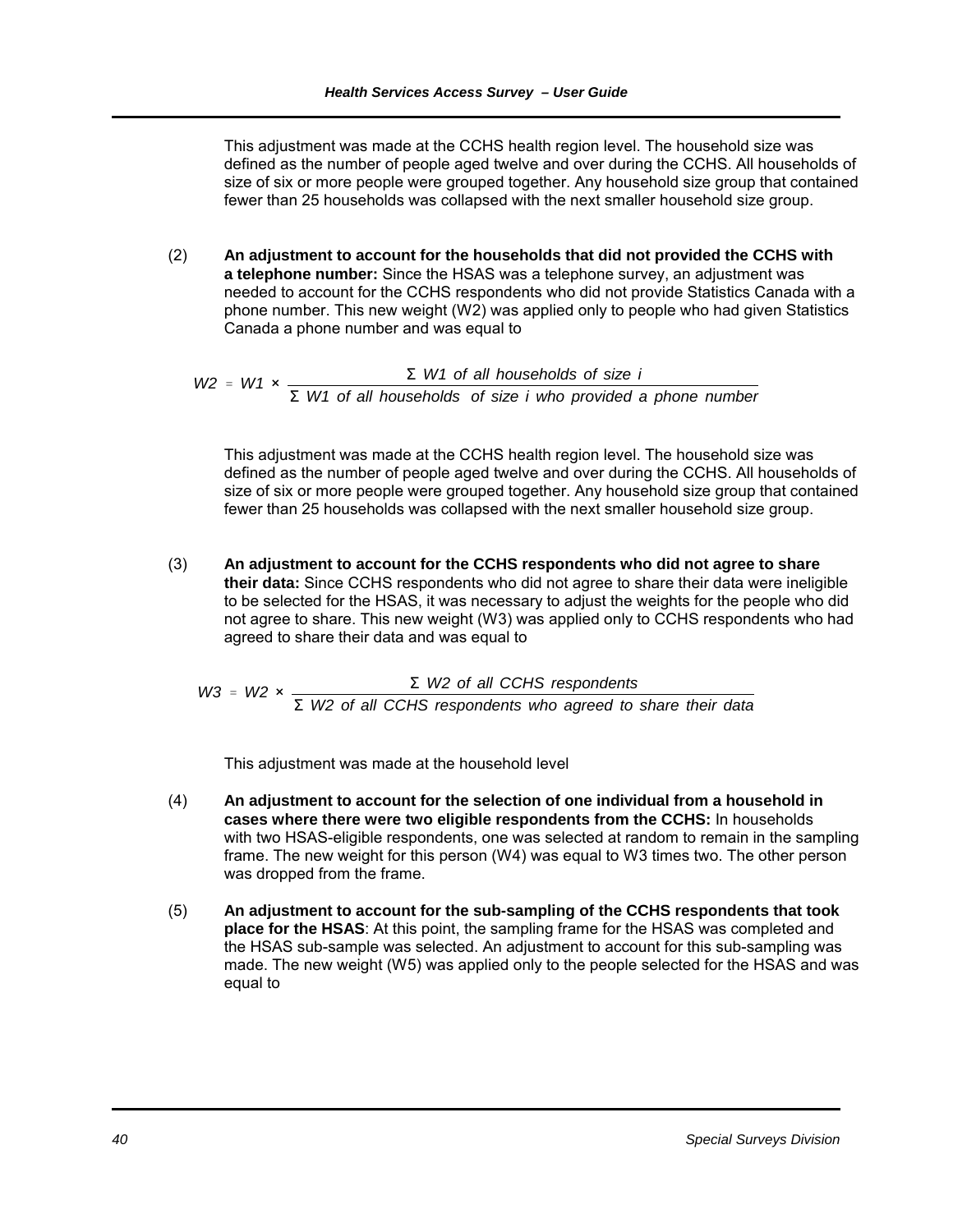This adjustment was made at the CCHS health region level. The household size was defined as the number of people aged twelve and over during the CCHS. All households of size of six or more people were grouped together. Any household size group that contained fewer than 25 households was collapsed with the next smaller household size group.

(2) **An adjustment to account for the households that did not provided the CCHS with a telephone number:** Since the HSAS was a telephone survey, an adjustment was needed to account for the CCHS respondents who did not provide Statistics Canada with a phone number. This new weight (W2) was applied only to people who had given Statistics Canada a phone number and was equal to

 $W2 = W1 \times \frac{\Sigma W1 \text{ of all households of size i}}{\Sigma W2 \text{ of all households of size i}}$ Σ *W1 of all households of size i who provided a phone number*

This adjustment was made at the CCHS health region level. The household size was defined as the number of people aged twelve and over during the CCHS. All households of size of six or more people were grouped together. Any household size group that contained fewer than 25 households was collapsed with the next smaller household size group.

(3) **An adjustment to account for the CCHS respondents who did not agree to share their data:** Since CCHS respondents who did not agree to share their data were ineligible to be selected for the HSAS, it was necessary to adjust the weights for the people who did not agree to share. This new weight (W3) was applied only to CCHS respondents who had agreed to share their data and was equal to

 $W3 = W2 \times \frac{\Sigma W2 \text{ of all CCHS respondents}}{\Sigma W2 \text{ of all CCHS}$ Σ *W2 of all CCHS respondents who agreed to share their data*

This adjustment was made at the household level

- (4) **An adjustment to account for the selection of one individual from a household in cases where there were two eligible respondents from the CCHS:** In households with two HSAS-eligible respondents, one was selected at random to remain in the sampling frame. The new weight for this person (W4) was equal to W3 times two. The other person was dropped from the frame.
- (5) **An adjustment to account for the sub-sampling of the CCHS respondents that took place for the HSAS**: At this point, the sampling frame for the HSAS was completed and the HSAS sub-sample was selected. An adjustment to account for this sub-sampling was made. The new weight (W5) was applied only to the people selected for the HSAS and was equal to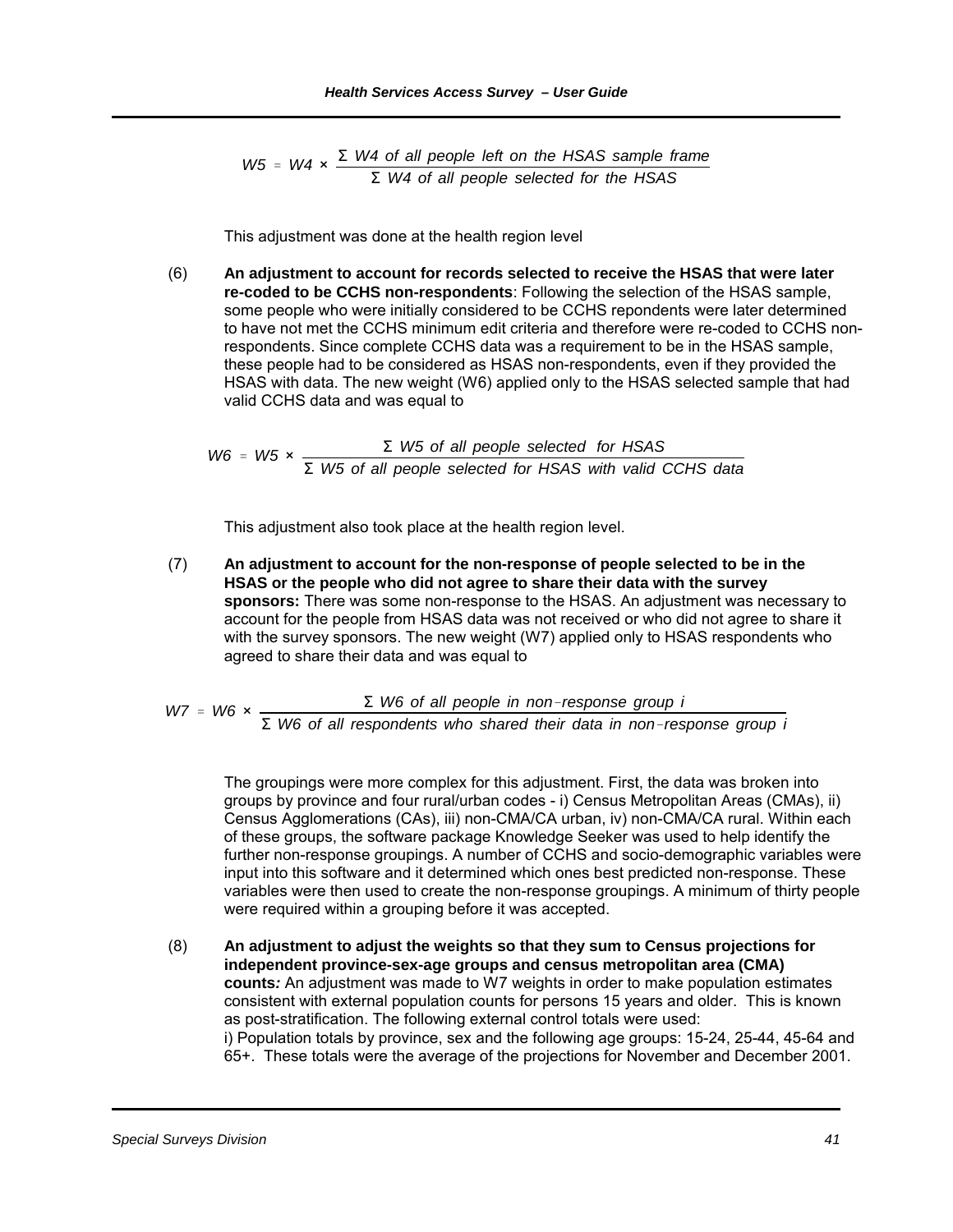*W5* = *W4* ×  $\frac{\Sigma$  *W4* of all people left on the HSAS sample frame Σ *W4 of all people selected for the HSAS*

This adjustment was done at the health region level

(6) **An adjustment to account for records selected to receive the HSAS that were later re-coded to be CCHS non-respondents**: Following the selection of the HSAS sample, some people who were initially considered to be CCHS repondents were later determined to have not met the CCHS minimum edit criteria and therefore were re-coded to CCHS nonrespondents. Since complete CCHS data was a requirement to be in the HSAS sample, these people had to be considered as HSAS non-respondents, even if they provided the HSAS with data. The new weight (W6) applied only to the HSAS selected sample that had valid CCHS data and was equal to

 $W6 = W5 \times \frac{\Sigma W5 \text{ of all people selected for HSAS}}{$ Σ *W5 of all people selected for HSAS with valid CCHS data*

This adjustment also took place at the health region level.

(7) **An adjustment to account for the non-response of people selected to be in the HSAS or the people who did not agree to share their data with the survey sponsors:** There was some non-response to the HSAS. An adjustment was necessary to account for the people from HSAS data was not received or who did not agree to share it with the survey sponsors. The new weight (W7) applied only to HSAS respondents who agreed to share their data and was equal to

*W7* = *W6* ×  $\frac{\Sigma$  *W6 of all people in non-response group i* Σ *W6 of all respondents who shared their data in nonresponse group i*

The groupings were more complex for this adjustment. First, the data was broken into groups by province and four rural/urban codes - i) Census Metropolitan Areas (CMAs), ii) Census Agglomerations (CAs), iii) non-CMA/CA urban, iv) non-CMA/CA rural. Within each of these groups, the software package Knowledge Seeker was used to help identify the further non-response groupings. A number of CCHS and socio-demographic variables were input into this software and it determined which ones best predicted non-response. These variables were then used to create the non-response groupings. A minimum of thirty people were required within a grouping before it was accepted.

(8) **An adjustment to adjust the weights so that they sum to Census projections for independent province-sex-age groups and census metropolitan area (CMA) counts***:* An adjustment was made to W7 weights in order to make population estimates consistent with external population counts for persons 15 years and older. This is known as post-stratification. The following external control totals were used: i) Population totals by province, sex and the following age groups: 15-24, 25-44, 45-64 and 65+. These totals were the average of the projections for November and December 2001.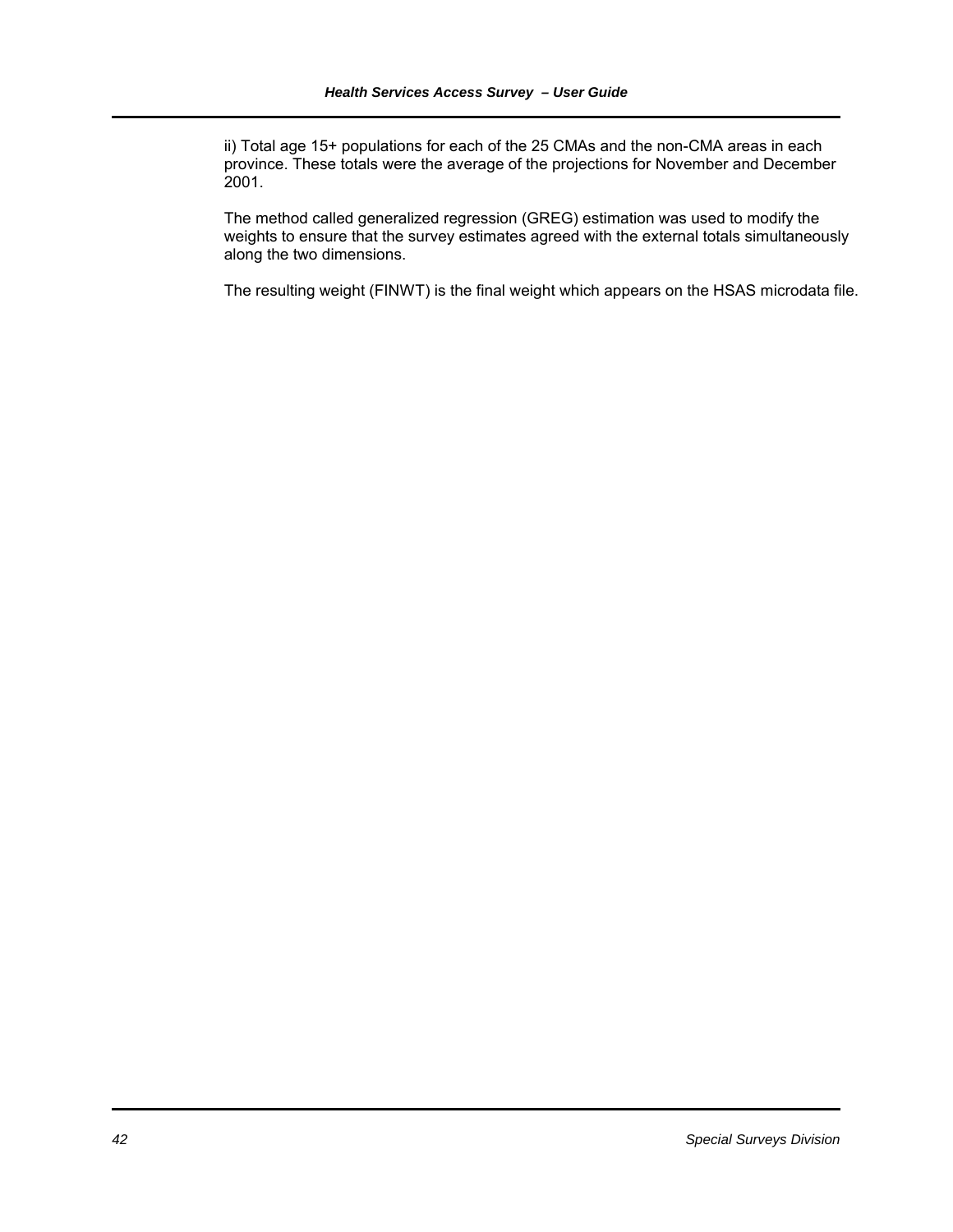ii) Total age 15+ populations for each of the 25 CMAs and the non-CMA areas in each province. These totals were the average of the projections for November and December 2001.

The method called generalized regression (GREG) estimation was used to modify the weights to ensure that the survey estimates agreed with the external totals simultaneously along the two dimensions.

The resulting weight (FINWT) is the final weight which appears on the HSAS microdata file.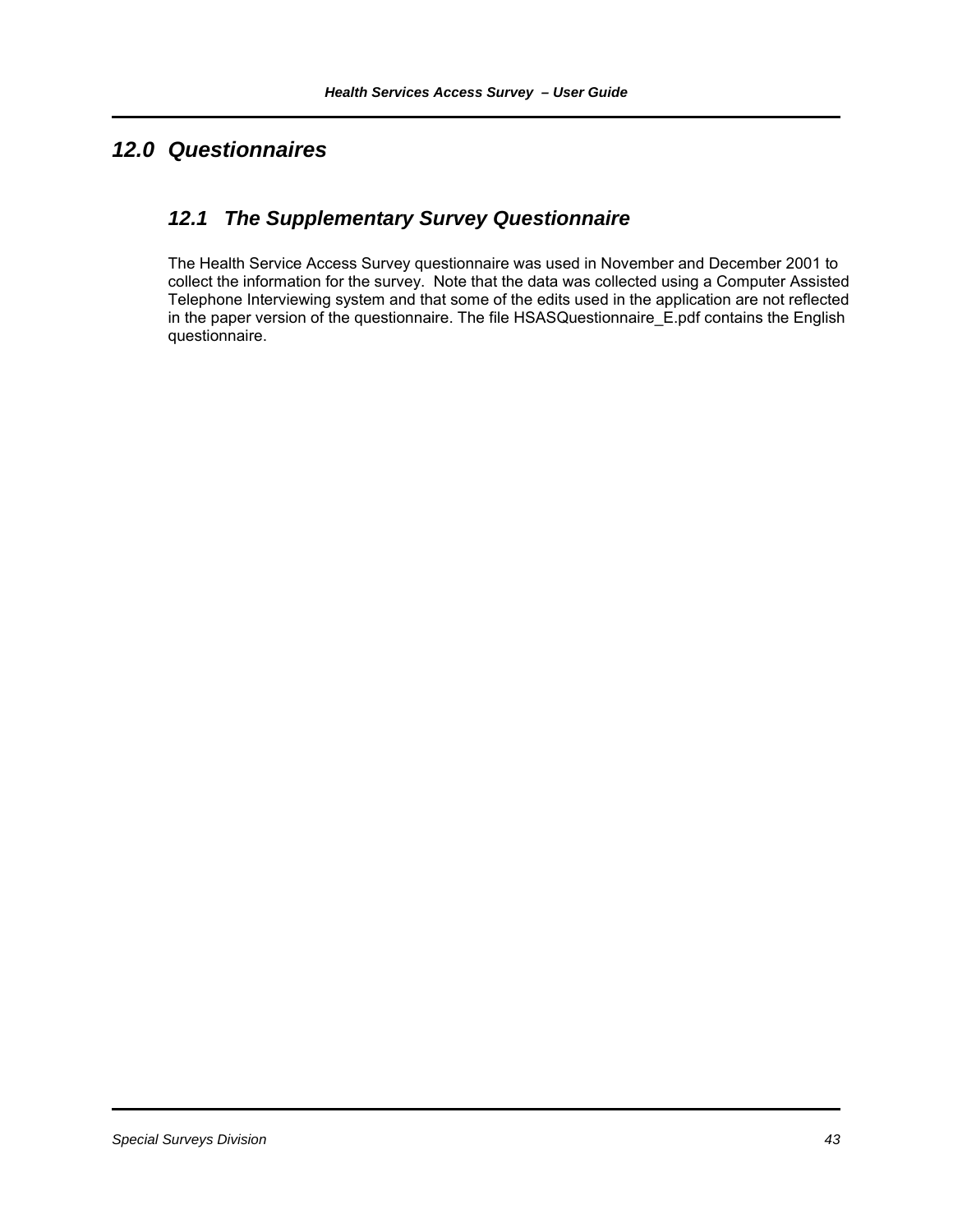# *12.0 Questionnaires*

## *12.1 The Supplementary Survey Questionnaire*

The Health Service Access Survey questionnaire was used in November and December 2001 to collect the information for the survey. Note that the data was collected using a Computer Assisted Telephone Interviewing system and that some of the edits used in the application are not reflected in the paper version of the questionnaire. The file HSASQuestionnaire\_E.pdf contains the English questionnaire.